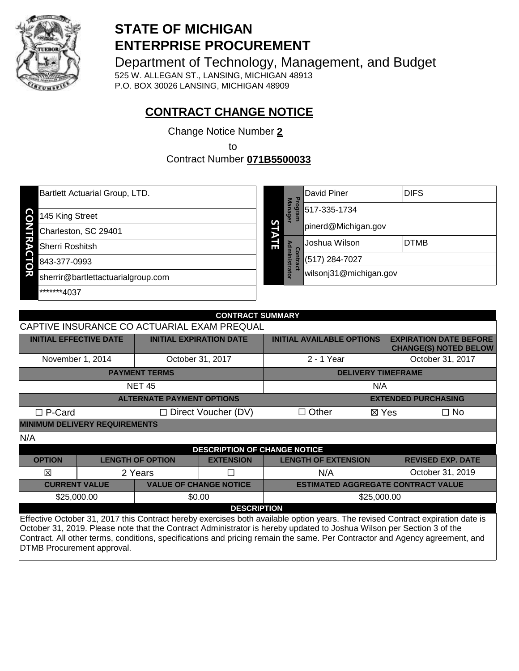

# **STATE OF MICHIGAN ENTERPRISE PROCUREMENT**

Department of Technology, Management, and Budget

525 W. ALLEGAN ST., LANSING, MICHIGAN 48913 P.O. BOX 30026 LANSING, MICHIGAN 48909

# **CONTRACT CHANGE NOTICE**

Change Notice Number **2**

to

Contract Number **071B5500033**

| Bartlett Actuarial Group, LTD.          |  | F                                                                                           | David Piner         | <b>DIFS</b> |                |
|-----------------------------------------|--|---------------------------------------------------------------------------------------------|---------------------|-------------|----------------|
| 145 King Street                         |  | <b>Manager</b><br>leu <sub>bo</sub><br>S<br>Ξ<br>∍<br>ō.<br>Ē<br>ministrator<br>$\mathbf C$ | 517-335-1734        |             |                |
| Charleston, SC 29401                    |  |                                                                                             | pinerd@Michigan.gov |             |                |
| Sherri Roshitsh                         |  |                                                                                             | Joshua Wilson       | <b>DTMB</b> |                |
| 843-377-0993<br>O                       |  |                                                                                             |                     | ntrac       | (517) 284-7027 |
| ਬ<br>sherrir@bartlettactuarialgroup.com |  | wilsonj31@michigan.gov                                                                      |                     |             |                |
| *******4037                             |  |                                                                                             |                     |             |                |

| <b>CONTRACT SUMMARY</b>                                                                                                                                                                                                                                                                                                                                                                |                                             |                                  |                  |                                  |                           |                                                               |
|----------------------------------------------------------------------------------------------------------------------------------------------------------------------------------------------------------------------------------------------------------------------------------------------------------------------------------------------------------------------------------------|---------------------------------------------|----------------------------------|------------------|----------------------------------|---------------------------|---------------------------------------------------------------|
|                                                                                                                                                                                                                                                                                                                                                                                        | CAPTIVE INSURANCE CO ACTUARIAL EXAM PREQUAL |                                  |                  |                                  |                           |                                                               |
| <b>INITIAL EFFECTIVE DATE</b>                                                                                                                                                                                                                                                                                                                                                          |                                             | <b>INITIAL EXPIRATION DATE</b>   |                  | <b>INITIAL AVAILABLE OPTIONS</b> |                           | <b>EXPIRATION DATE BEFORE</b><br><b>CHANGE(S) NOTED BELOW</b> |
| November 1, 2014                                                                                                                                                                                                                                                                                                                                                                       |                                             |                                  | October 31, 2017 | 2 - 1 Year                       |                           | October 31, 2017                                              |
|                                                                                                                                                                                                                                                                                                                                                                                        |                                             | <b>PAYMENT TERMS</b>             |                  |                                  | <b>DELIVERY TIMEFRAME</b> |                                                               |
|                                                                                                                                                                                                                                                                                                                                                                                        |                                             | <b>NET 45</b>                    |                  |                                  | N/A                       |                                                               |
|                                                                                                                                                                                                                                                                                                                                                                                        |                                             | <b>ALTERNATE PAYMENT OPTIONS</b> |                  |                                  |                           | <b>EXTENDED PURCHASING</b>                                    |
| $\Box$ P-Card                                                                                                                                                                                                                                                                                                                                                                          | $\Box$ Direct Voucher (DV)                  |                                  |                  | $\Box$ Other                     | ⊠ Yes<br>$\Box$ No        |                                                               |
|                                                                                                                                                                                                                                                                                                                                                                                        | <b>MINIMUM DELIVERY REQUIREMENTS</b>        |                                  |                  |                                  |                           |                                                               |
| N/A                                                                                                                                                                                                                                                                                                                                                                                    |                                             |                                  |                  |                                  |                           |                                                               |
| <b>DESCRIPTION OF CHANGE NOTICE</b>                                                                                                                                                                                                                                                                                                                                                    |                                             |                                  |                  |                                  |                           |                                                               |
| <b>OPTION</b>                                                                                                                                                                                                                                                                                                                                                                          |                                             | <b>LENGTH OF OPTION</b>          | <b>EXTENSION</b> | <b>LENGTH OF EXTENSION</b>       |                           | <b>REVISED EXP. DATE</b>                                      |
| 冈                                                                                                                                                                                                                                                                                                                                                                                      |                                             | 2 Years                          |                  | N/A                              |                           | October 31, 2019                                              |
| <b>CURRENT VALUE</b><br><b>VALUE OF CHANGE NOTICE</b><br><b>ESTIMATED AGGREGATE CONTRACT VALUE</b>                                                                                                                                                                                                                                                                                     |                                             |                                  |                  |                                  |                           |                                                               |
| \$25,000.00<br>\$0.00                                                                                                                                                                                                                                                                                                                                                                  |                                             |                                  | \$25,000.00      |                                  |                           |                                                               |
| <b>DESCRIPTION</b>                                                                                                                                                                                                                                                                                                                                                                     |                                             |                                  |                  |                                  |                           |                                                               |
| Effective October 31, 2017 this Contract hereby exercises both available option years. The revised Contract expiration date is<br>October 31, 2019. Please note that the Contract Administrator is hereby updated to Joshua Wilson per Section 3 of the<br>Contract. All other terms, conditions, specifications and pricing remain the same. Per Contractor and Agency agreement, and |                                             |                                  |                  |                                  |                           |                                                               |

DTMB Procurement approval.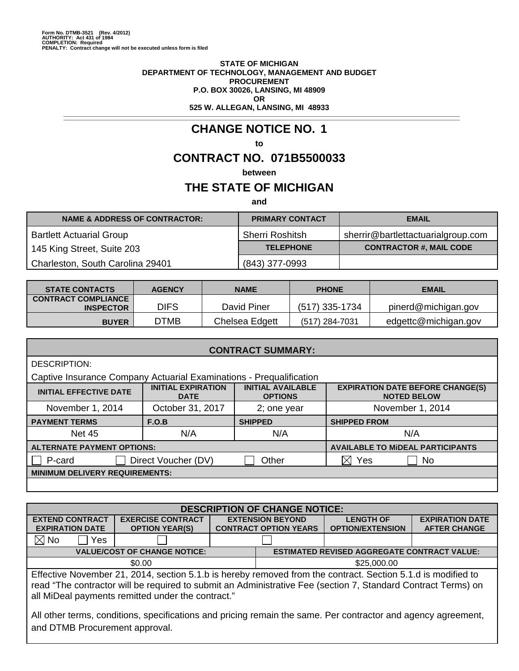#### **STATE OF MICHIGAN DEPARTMENT OF TECHNOLOGY, MANAGEMENT AND BUDGET PROCUREMENT P.O. BOX 30026, LANSING, MI 48909 OR 525 W. ALLEGAN, LANSING, MI 48933**

# **CHANGE NOTICE NO. 1**

#### **to**

# **CONTRACT NO. 071B5500033**

**between**

# **THE STATE OF MICHIGAN**

**and**

| <b>NAME &amp; ADDRESS OF CONTRACTOR:</b> | <b>PRIMARY CONTACT</b> | <b>EMAIL</b>                       |
|------------------------------------------|------------------------|------------------------------------|
| <b>Bartlett Actuarial Group</b>          | <b>Sherri Roshitsh</b> | sherrir@bartlettactuarialgroup.com |
| 145 King Street, Suite 203               | <b>TELEPHONE</b>       | <b>CONTRACTOR #, MAIL CODE</b>     |
| Charleston, South Carolina 29401         | (843) 377-0993         |                                    |

| <b>STATE CONTACTS</b>                          | <b>AGENCY</b> | <b>NAME</b>    | <b>PHONE</b>   | <b>EMAIL</b>         |
|------------------------------------------------|---------------|----------------|----------------|----------------------|
| <b>CONTRACT COMPLIANCE</b><br><b>INSPECTOR</b> | <b>DIFS</b>   | David Piner    | (517) 335-1734 | pinerd@michigan.gov  |
| <b>BUYER</b>                                   | <b>DTMB</b>   | Chelsea Edgett | (517) 284-7031 | edgettc@michigan.gov |

| <b>CONTRACT SUMMARY:</b>                                            |                                          |                                            |                                                               |  |  |
|---------------------------------------------------------------------|------------------------------------------|--------------------------------------------|---------------------------------------------------------------|--|--|
| DESCRIPTION:                                                        |                                          |                                            |                                                               |  |  |
| Captive Insurance Company Actuarial Examinations - Prequalification |                                          |                                            |                                                               |  |  |
| <b>INITIAL EFFECTIVE DATE</b>                                       | <b>INITIAL EXPIRATION</b><br><b>DATE</b> | <b>INITIAL AVAILABLE</b><br><b>OPTIONS</b> | <b>EXPIRATION DATE BEFORE CHANGE(S)</b><br><b>NOTED BELOW</b> |  |  |
| November 1, 2014                                                    | October 31, 2017                         | 2; one year                                | November 1, 2014                                              |  |  |
| <b>PAYMENT TERMS</b>                                                | F.O.B                                    | <b>SHIPPED</b>                             | <b>SHIPPED FROM</b>                                           |  |  |
|                                                                     |                                          |                                            |                                                               |  |  |
| <b>Net 45</b>                                                       | N/A                                      | N/A                                        | N/A                                                           |  |  |
| <b>ALTERNATE PAYMENT OPTIONS:</b>                                   |                                          |                                            | <b>AVAILABLE TO MIDEAL PARTICIPANTS</b>                       |  |  |
| P-card                                                              | Direct Voucher (DV)                      | Other                                      | Yes<br>No.                                                    |  |  |
| <b>MINIMUM DELIVERY REQUIREMENTS:</b>                               |                                          |                                            |                                                               |  |  |

| <b>DESCRIPTION OF CHANGE NOTICE:</b>                                                                                                                                                                                                                                               |                                                                                           |                         |                              |                         |                        |
|------------------------------------------------------------------------------------------------------------------------------------------------------------------------------------------------------------------------------------------------------------------------------------|-------------------------------------------------------------------------------------------|-------------------------|------------------------------|-------------------------|------------------------|
| <b>EXTEND CONTRACT</b>                                                                                                                                                                                                                                                             | <b>EXERCISE CONTRACT</b>                                                                  | <b>EXTENSION BEYOND</b> |                              | <b>LENGTH OF</b>        | <b>EXPIRATION DATE</b> |
| <b>EXPIRATION DATE</b>                                                                                                                                                                                                                                                             | <b>OPTION YEAR(S)</b>                                                                     |                         | <b>CONTRACT OPTION YEARS</b> | <b>OPTION/EXTENSION</b> | <b>AFTER CHANGE</b>    |
| $\boxtimes$ No<br>Yes                                                                                                                                                                                                                                                              |                                                                                           |                         |                              |                         |                        |
|                                                                                                                                                                                                                                                                                    | <b>VALUE/COST OF CHANGE NOTICE:</b><br><b>ESTIMATED REVISED AGGREGATE CONTRACT VALUE:</b> |                         |                              |                         |                        |
| \$0.00<br>\$25,000.00                                                                                                                                                                                                                                                              |                                                                                           |                         |                              |                         |                        |
| Effective November 21, 2014, section 5.1.b is hereby removed from the contract. Section 5.1.d is modified to<br>read "The contractor will be required to submit an Administrative Fee (section 7, Standard Contract Terms) on<br>all MiDeal payments remitted under the contract." |                                                                                           |                         |                              |                         |                        |
| All other terms, conditions, specifications and pricing remain the same. Per contractor and agency agreement,<br>and DTMB Procurement approval.                                                                                                                                    |                                                                                           |                         |                              |                         |                        |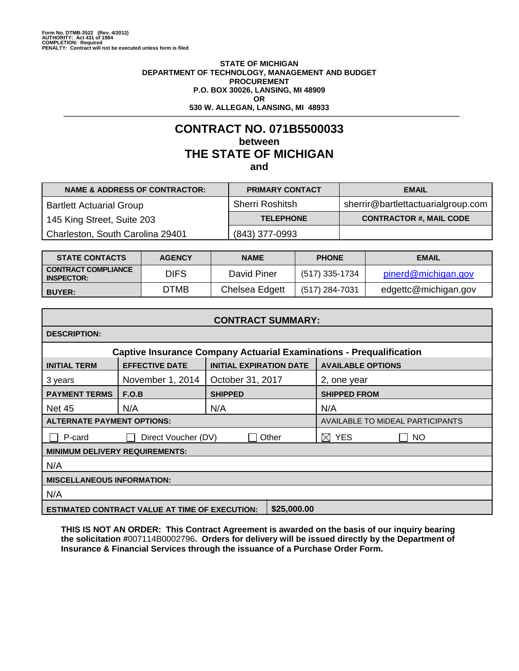#### **STATE OF MICHIGAN DEPARTMENT OF TECHNOLOGY, MANAGEMENT AND BUDGET PROCUREMENT P.O. BOX 30026, LANSING, MI 48909 OR 530 W. ALLEGAN, LANSING, MI 48933**

# **CONTRACT NO. 071B5500033 between THE STATE OF MICHIGAN and**

| <b>NAME &amp; ADDRESS OF CONTRACTOR:</b> | <b>PRIMARY CONTACT</b> | <b>EMAIL</b>                       |
|------------------------------------------|------------------------|------------------------------------|
| <b>Bartlett Actuarial Group</b>          | <b>Sherri Roshitsh</b> | sherrir@bartlettactuarialgroup.com |
| 145 King Street, Suite 203               | <b>TELEPHONE</b>       | <b>CONTRACTOR #, MAIL CODE</b>     |
| Charleston, South Carolina 29401         | (843) 377-0993         |                                    |

| <b>STATE CONTACTS</b>                           | <b>AGENCY</b> | <b>NAME</b>    | <b>PHONE</b>   | <b>EMAIL</b>         |
|-------------------------------------------------|---------------|----------------|----------------|----------------------|
| <b>CONTRACT COMPLIANCE</b><br><b>INSPECTOR:</b> | <b>DIFS</b>   | David Piner    | (517) 335-1734 | pinerd@michigan.gov  |
| <b>BUYER:</b>                                   | DTMB          | Chelsea Edgett | (517) 284-7031 | edgettc@michigan.gov |

| <b>CONTRACT SUMMARY:</b>                                                   |                              |                                |                                         |  |
|----------------------------------------------------------------------------|------------------------------|--------------------------------|-----------------------------------------|--|
| <b>DESCRIPTION:</b>                                                        |                              |                                |                                         |  |
| <b>Captive Insurance Company Actuarial Examinations - Prequalification</b> |                              |                                |                                         |  |
| <b>INITIAL TERM</b>                                                        | <b>EFFECTIVE DATE</b>        | <b>INITIAL EXPIRATION DATE</b> | <b>AVAILABLE OPTIONS</b>                |  |
| 3 years                                                                    | November 1, 2014             | October 31, 2017               | 2, one year                             |  |
| <b>PAYMENT TERMS</b>                                                       | F.O.B                        | <b>SHIPPED</b>                 | <b>SHIPPED FROM</b>                     |  |
| <b>Net 45</b>                                                              | N/A                          | N/A                            | N/A                                     |  |
| <b>ALTERNATE PAYMENT OPTIONS:</b>                                          |                              |                                | <b>AVAILABLE TO MIDEAL PARTICIPANTS</b> |  |
| P-card                                                                     | Other<br>Direct Voucher (DV) |                                | $\boxtimes$ YES<br>  NO                 |  |
| <b>MINIMUM DELIVERY REQUIREMENTS:</b>                                      |                              |                                |                                         |  |
| N/A                                                                        |                              |                                |                                         |  |
| <b>MISCELLANEOUS INFORMATION:</b>                                          |                              |                                |                                         |  |
| N/A                                                                        |                              |                                |                                         |  |
| \$25,000.00<br><b>ESTIMATED CONTRACT VALUE AT TIME OF EXECUTION:</b>       |                              |                                |                                         |  |

**THIS IS NOT AN ORDER: This Contract Agreement is awarded on the basis of our inquiry bearing the solicitation #**007114B0002796**. Orders for delivery will be issued directly by the Department of Insurance & Financial Services through the issuance of a Purchase Order Form.**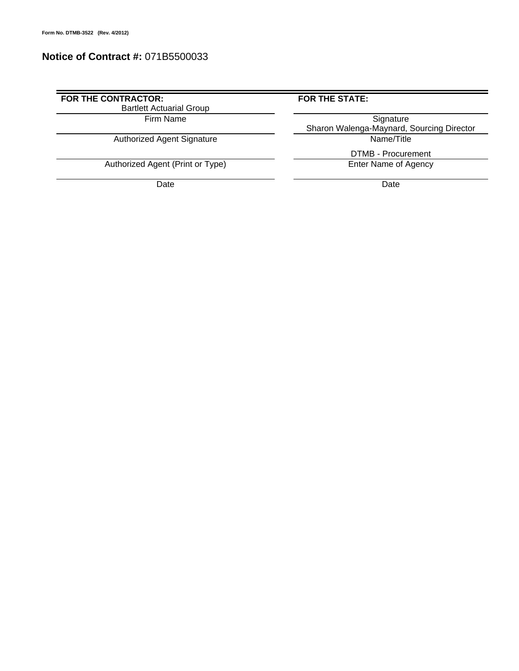# **Notice of Contract #:** 071B5500033

### FOR THE CONTRACTOR: **FOR THE STATE:** Bartlett Actuarial Group

Authorized Agent Signature

Authorized Agent (Print or Type)

Date **Date Date Date Date Date Date** 

Firm Name Signature **Sharon Walenga-Maynard, Sourcing Director**<br>Name/Title

DTMB - Procurement<br>Enter Name of Agency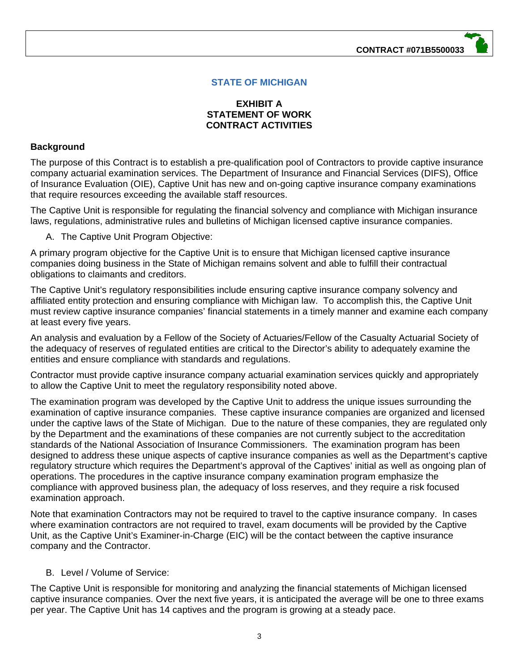**CONTRACT #071B5500033**

# **STATE OF MICHIGAN**

### **EXHIBIT A STATEMENT OF WORK CONTRACT ACTIVITIES**

#### **Background**

The purpose of this Contract is to establish a pre-qualification pool of Contractors to provide captive insurance company actuarial examination services. The Department of Insurance and Financial Services (DIFS), Office of Insurance Evaluation (OIE), Captive Unit has new and on-going captive insurance company examinations that require resources exceeding the available staff resources.

The Captive Unit is responsible for regulating the financial solvency and compliance with Michigan insurance laws, regulations, administrative rules and bulletins of Michigan licensed captive insurance companies.

A. The Captive Unit Program Objective:

A primary program objective for the Captive Unit is to ensure that Michigan licensed captive insurance companies doing business in the State of Michigan remains solvent and able to fulfill their contractual obligations to claimants and creditors.

The Captive Unit's regulatory responsibilities include ensuring captive insurance company solvency and affiliated entity protection and ensuring compliance with Michigan law. To accomplish this, the Captive Unit must review captive insurance companies' financial statements in a timely manner and examine each company at least every five years.

An analysis and evaluation by a Fellow of the Society of Actuaries/Fellow of the Casualty Actuarial Society of the adequacy of reserves of regulated entities are critical to the Director's ability to adequately examine the entities and ensure compliance with standards and regulations.

Contractor must provide captive insurance company actuarial examination services quickly and appropriately to allow the Captive Unit to meet the regulatory responsibility noted above.

The examination program was developed by the Captive Unit to address the unique issues surrounding the examination of captive insurance companies. These captive insurance companies are organized and licensed under the captive laws of the State of Michigan. Due to the nature of these companies, they are regulated only by the Department and the examinations of these companies are not currently subject to the accreditation standards of the National Association of Insurance Commissioners. The examination program has been designed to address these unique aspects of captive insurance companies as well as the Department's captive regulatory structure which requires the Department's approval of the Captives' initial as well as ongoing plan of operations. The procedures in the captive insurance company examination program emphasize the compliance with approved business plan, the adequacy of loss reserves, and they require a risk focused examination approach.

Note that examination Contractors may not be required to travel to the captive insurance company. In cases where examination contractors are not required to travel, exam documents will be provided by the Captive Unit, as the Captive Unit's Examiner-in-Charge (EIC) will be the contact between the captive insurance company and the Contractor.

#### B. Level / Volume of Service:

The Captive Unit is responsible for monitoring and analyzing the financial statements of Michigan licensed captive insurance companies. Over the next five years, it is anticipated the average will be one to three exams per year. The Captive Unit has 14 captives and the program is growing at a steady pace.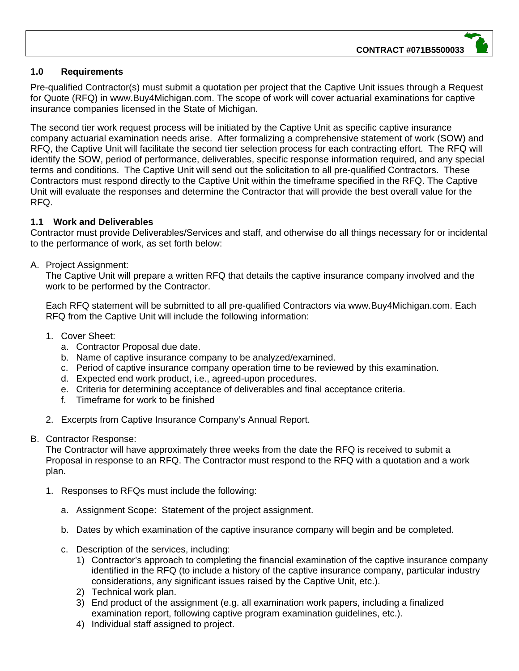# **1.0 Requirements**

Pre-qualified Contractor(s) must submit a quotation per project that the Captive Unit issues through a Request for Quote (RFQ) in www.Buy4Michigan.com. The scope of work will cover actuarial examinations for captive insurance companies licensed in the State of Michigan.

The second tier work request process will be initiated by the Captive Unit as specific captive insurance company actuarial examination needs arise. After formalizing a comprehensive statement of work (SOW) and RFQ, the Captive Unit will facilitate the second tier selection process for each contracting effort. The RFQ will identify the SOW, period of performance, deliverables, specific response information required, and any special terms and conditions. The Captive Unit will send out the solicitation to all pre-qualified Contractors. These Contractors must respond directly to the Captive Unit within the timeframe specified in the RFQ. The Captive Unit will evaluate the responses and determine the Contractor that will provide the best overall value for the RFQ.

# **1.1 Work and Deliverables**

Contractor must provide Deliverables/Services and staff, and otherwise do all things necessary for or incidental to the performance of work, as set forth below:

# A. Project Assignment:

The Captive Unit will prepare a written RFQ that details the captive insurance company involved and the work to be performed by the Contractor.

Each RFQ statement will be submitted to all pre-qualified Contractors via www.Buy4Michigan.com. Each RFQ from the Captive Unit will include the following information:

- 1. Cover Sheet:
	- a. Contractor Proposal due date.
	- b. Name of captive insurance company to be analyzed/examined.
	- c. Period of captive insurance company operation time to be reviewed by this examination.
	- d. Expected end work product, i.e., agreed-upon procedures.
	- e. Criteria for determining acceptance of deliverables and final acceptance criteria.
	- f. Timeframe for work to be finished
- 2. Excerpts from Captive Insurance Company's Annual Report.

#### B. Contractor Response:

The Contractor will have approximately three weeks from the date the RFQ is received to submit a Proposal in response to an RFQ. The Contractor must respond to the RFQ with a quotation and a work plan.

- 1. Responses to RFQs must include the following:
	- a. Assignment Scope: Statement of the project assignment.
	- b. Dates by which examination of the captive insurance company will begin and be completed.
	- c. Description of the services, including:
		- 1) Contractor's approach to completing the financial examination of the captive insurance company identified in the RFQ (to include a history of the captive insurance company, particular industry considerations, any significant issues raised by the Captive Unit, etc.).
		- 2) Technical work plan.
		- 3) End product of the assignment (e.g. all examination work papers, including a finalized examination report, following captive program examination guidelines, etc.).
		- 4) Individual staff assigned to project.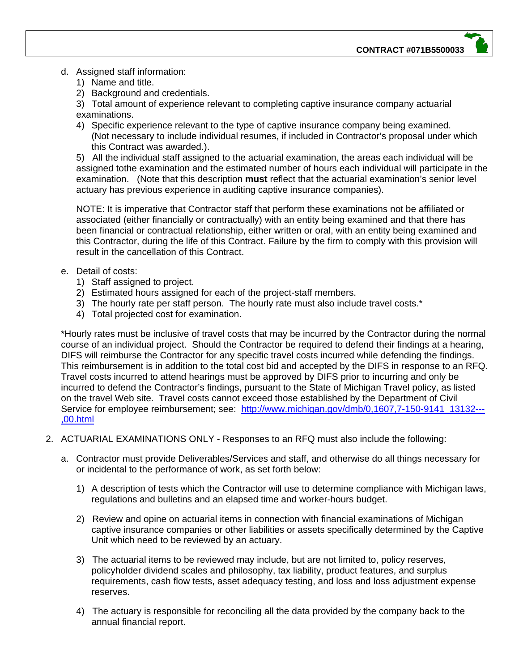- d. Assigned staff information:
	- 1) Name and title.
	- 2) Background and credentials.

3) Total amount of experience relevant to completing captive insurance company actuarial examinations.

4) Specific experience relevant to the type of captive insurance company being examined. (Not necessary to include individual resumes, if included in Contractor's proposal under which this Contract was awarded.).

5) All the individual staff assigned to the actuarial examination, the areas each individual will be assigned tothe examination and the estimated number of hours each individual will participate in the examination. (Note that this description **must** reflect that the actuarial examination's senior level actuary has previous experience in auditing captive insurance companies).

NOTE: It is imperative that Contractor staff that perform these examinations not be affiliated or associated (either financially or contractually) with an entity being examined and that there has been financial or contractual relationship, either written or oral, with an entity being examined and this Contractor, during the life of this Contract. Failure by the firm to comply with this provision will result in the cancellation of this Contract.

### e. Detail of costs:

- 1) Staff assigned to project.
- 2) Estimated hours assigned for each of the project-staff members.
- 3) The hourly rate per staff person. The hourly rate must also include travel costs.\*
- 4) Total projected cost for examination.

\*Hourly rates must be inclusive of travel costs that may be incurred by the Contractor during the normal course of an individual project. Should the Contractor be required to defend their findings at a hearing, DIFS will reimburse the Contractor for any specific travel costs incurred while defending the findings. This reimbursement is in addition to the total cost bid and accepted by the DIFS in response to an RFQ. Travel costs incurred to attend hearings must be approved by DIFS prior to incurring and only be incurred to defend the Contractor's findings, pursuant to the State of Michigan Travel policy, as listed on the travel Web site. Travel costs cannot exceed those established by the Department of Civil Service for employee reimbursement; see: http://www.michigan.gov/dmb/0,1607,7-150-9141\_13132---,00.html

- 2. ACTUARIAL EXAMINATIONS ONLY Responses to an RFQ must also include the following:
	- a. Contractor must provide Deliverables/Services and staff, and otherwise do all things necessary for or incidental to the performance of work, as set forth below:
		- 1) A description of tests which the Contractor will use to determine compliance with Michigan laws, regulations and bulletins and an elapsed time and worker-hours budget.
		- 2) Review and opine on actuarial items in connection with financial examinations of Michigan captive insurance companies or other liabilities or assets specifically determined by the Captive Unit which need to be reviewed by an actuary.
		- 3) The actuarial items to be reviewed may include, but are not limited to, policy reserves, policyholder dividend scales and philosophy, tax liability, product features, and surplus requirements, cash flow tests, asset adequacy testing, and loss and loss adjustment expense reserves.
		- 4) The actuary is responsible for reconciling all the data provided by the company back to the annual financial report.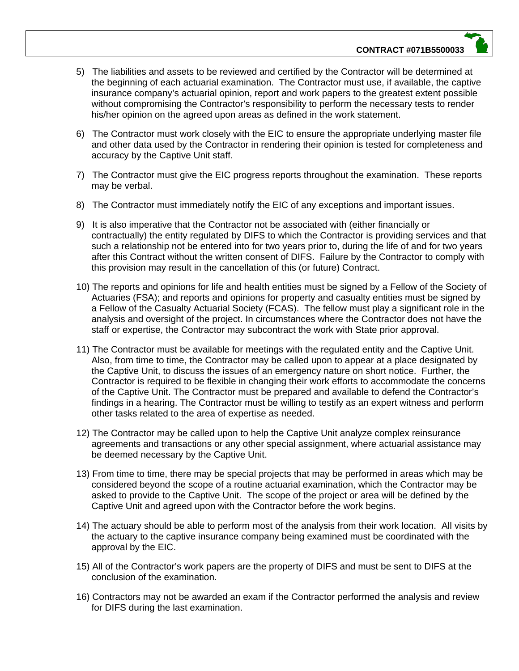- 5) The liabilities and assets to be reviewed and certified by the Contractor will be determined at the beginning of each actuarial examination. The Contractor must use, if available, the captive insurance company's actuarial opinion, report and work papers to the greatest extent possible without compromising the Contractor's responsibility to perform the necessary tests to render his/her opinion on the agreed upon areas as defined in the work statement.
- 6) The Contractor must work closely with the EIC to ensure the appropriate underlying master file and other data used by the Contractor in rendering their opinion is tested for completeness and accuracy by the Captive Unit staff.
- 7) The Contractor must give the EIC progress reports throughout the examination. These reports may be verbal.
- 8) The Contractor must immediately notify the EIC of any exceptions and important issues.
- 9) It is also imperative that the Contractor not be associated with (either financially or contractually) the entity regulated by DIFS to which the Contractor is providing services and that such a relationship not be entered into for two years prior to, during the life of and for two years after this Contract without the written consent of DIFS. Failure by the Contractor to comply with this provision may result in the cancellation of this (or future) Contract.
- 10) The reports and opinions for life and health entities must be signed by a Fellow of the Society of Actuaries (FSA); and reports and opinions for property and casualty entities must be signed by a Fellow of the Casualty Actuarial Society (FCAS). The fellow must play a significant role in the analysis and oversight of the project. In circumstances where the Contractor does not have the staff or expertise, the Contractor may subcontract the work with State prior approval.
- 11) The Contractor must be available for meetings with the regulated entity and the Captive Unit. Also, from time to time, the Contractor may be called upon to appear at a place designated by the Captive Unit, to discuss the issues of an emergency nature on short notice. Further, the Contractor is required to be flexible in changing their work efforts to accommodate the concerns of the Captive Unit. The Contractor must be prepared and available to defend the Contractor's findings in a hearing. The Contractor must be willing to testify as an expert witness and perform other tasks related to the area of expertise as needed.
- 12) The Contractor may be called upon to help the Captive Unit analyze complex reinsurance agreements and transactions or any other special assignment, where actuarial assistance may be deemed necessary by the Captive Unit.
- 13) From time to time, there may be special projects that may be performed in areas which may be considered beyond the scope of a routine actuarial examination, which the Contractor may be asked to provide to the Captive Unit. The scope of the project or area will be defined by the Captive Unit and agreed upon with the Contractor before the work begins.
- 14) The actuary should be able to perform most of the analysis from their work location. All visits by the actuary to the captive insurance company being examined must be coordinated with the approval by the EIC.
- 15) All of the Contractor's work papers are the property of DIFS and must be sent to DIFS at the conclusion of the examination.
- 16) Contractors may not be awarded an exam if the Contractor performed the analysis and review for DIFS during the last examination.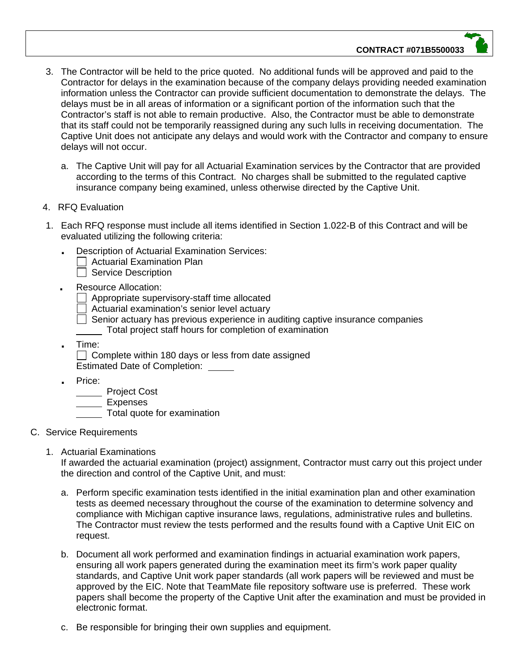#### **CONTRACT #071B5500033**

- 3. The Contractor will be held to the price quoted. No additional funds will be approved and paid to the Contractor for delays in the examination because of the company delays providing needed examination information unless the Contractor can provide sufficient documentation to demonstrate the delays. The delays must be in all areas of information or a significant portion of the information such that the Contractor's staff is not able to remain productive. Also, the Contractor must be able to demonstrate that its staff could not be temporarily reassigned during any such lulls in receiving documentation. The Captive Unit does not anticipate any delays and would work with the Contractor and company to ensure delays will not occur.
	- a. The Captive Unit will pay for all Actuarial Examination services by the Contractor that are provided according to the terms of this Contract. No charges shall be submitted to the regulated captive insurance company being examined, unless otherwise directed by the Captive Unit.
- 4. RFQ Evaluation
- 1. Each RFQ response must include all items identified in Section 1.022-B of this Contract and will be evaluated utilizing the following criteria:
	- **.** Description of Actuarial Examination Services:
		- $\Box$  Actuarial Examination Plan
		- $\Box$  Service Description
	- **.** Resource Allocation:
		- Appropriate supervisory-staff time allocated
		- Actuarial examination's senior level actuary
		- $\Box$  Senior actuary has previous experience in auditing captive insurance companies Total project staff hours for completion of examination
	- **.** Time:

 $\Box$  Complete within 180 days or less from date assigned Estimated Date of Completion:

**.** Price:

**No. 2018** Project Cost

Expenses

Total quote for examination

- C. Service Requirements
	- 1. Actuarial Examinations

If awarded the actuarial examination (project) assignment, Contractor must carry out this project under the direction and control of the Captive Unit, and must:

- a. Perform specific examination tests identified in the initial examination plan and other examination tests as deemed necessary throughout the course of the examination to determine solvency and compliance with Michigan captive insurance laws, regulations, administrative rules and bulletins. The Contractor must review the tests performed and the results found with a Captive Unit EIC on request.
- b. Document all work performed and examination findings in actuarial examination work papers, ensuring all work papers generated during the examination meet its firm's work paper quality standards, and Captive Unit work paper standards (all work papers will be reviewed and must be approved by the EIC. Note that TeamMate file repository software use is preferred. These work papers shall become the property of the Captive Unit after the examination and must be provided in electronic format.
- c. Be responsible for bringing their own supplies and equipment.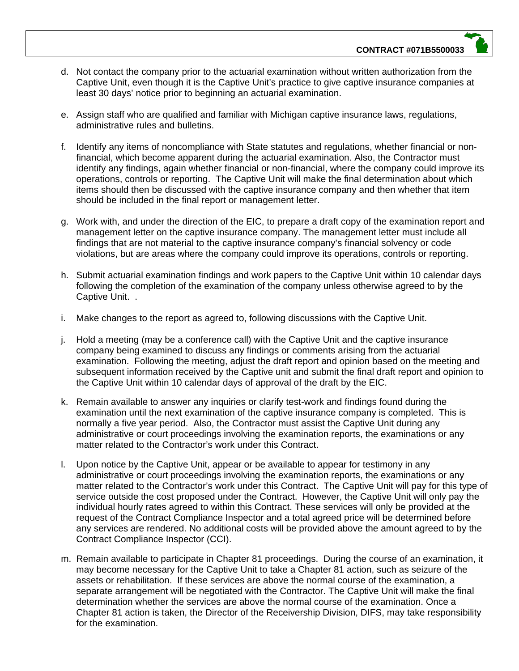- d. Not contact the company prior to the actuarial examination without written authorization from the Captive Unit, even though it is the Captive Unit's practice to give captive insurance companies at least 30 days' notice prior to beginning an actuarial examination.
- e. Assign staff who are qualified and familiar with Michigan captive insurance laws, regulations, administrative rules and bulletins.
- f. Identify any items of noncompliance with State statutes and regulations, whether financial or nonfinancial, which become apparent during the actuarial examination. Also, the Contractor must identify any findings, again whether financial or non-financial, where the company could improve its operations, controls or reporting. The Captive Unit will make the final determination about which items should then be discussed with the captive insurance company and then whether that item should be included in the final report or management letter.
- g. Work with, and under the direction of the EIC, to prepare a draft copy of the examination report and management letter on the captive insurance company. The management letter must include all findings that are not material to the captive insurance company's financial solvency or code violations, but are areas where the company could improve its operations, controls or reporting.
- h. Submit actuarial examination findings and work papers to the Captive Unit within 10 calendar days following the completion of the examination of the company unless otherwise agreed to by the Captive Unit. .
- i. Make changes to the report as agreed to, following discussions with the Captive Unit.
- j. Hold a meeting (may be a conference call) with the Captive Unit and the captive insurance company being examined to discuss any findings or comments arising from the actuarial examination. Following the meeting, adjust the draft report and opinion based on the meeting and subsequent information received by the Captive unit and submit the final draft report and opinion to the Captive Unit within 10 calendar days of approval of the draft by the EIC.
- k. Remain available to answer any inquiries or clarify test-work and findings found during the examination until the next examination of the captive insurance company is completed. This is normally a five year period. Also, the Contractor must assist the Captive Unit during any administrative or court proceedings involving the examination reports, the examinations or any matter related to the Contractor's work under this Contract.
- l. Upon notice by the Captive Unit, appear or be available to appear for testimony in any administrative or court proceedings involving the examination reports, the examinations or any matter related to the Contractor's work under this Contract. The Captive Unit will pay for this type of service outside the cost proposed under the Contract. However, the Captive Unit will only pay the individual hourly rates agreed to within this Contract. These services will only be provided at the request of the Contract Compliance Inspector and a total agreed price will be determined before any services are rendered. No additional costs will be provided above the amount agreed to by the Contract Compliance Inspector (CCI).
- m. Remain available to participate in Chapter 81 proceedings. During the course of an examination, it may become necessary for the Captive Unit to take a Chapter 81 action, such as seizure of the assets or rehabilitation. If these services are above the normal course of the examination, a separate arrangement will be negotiated with the Contractor. The Captive Unit will make the final determination whether the services are above the normal course of the examination. Once a Chapter 81 action is taken, the Director of the Receivership Division, DIFS, may take responsibility for the examination.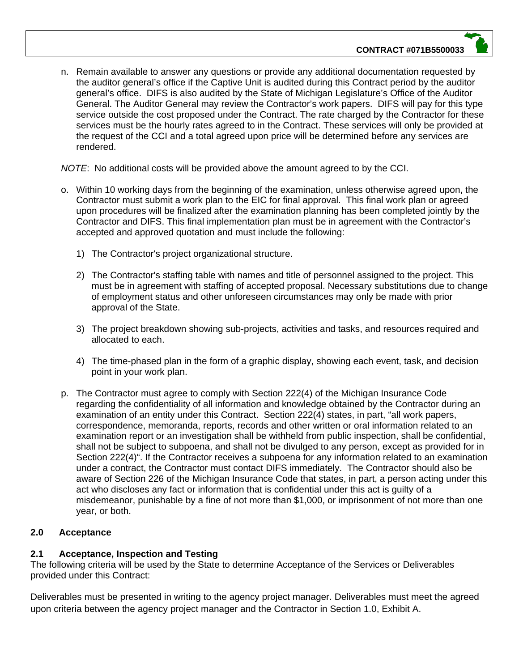n. Remain available to answer any questions or provide any additional documentation requested by the auditor general's office if the Captive Unit is audited during this Contract period by the auditor general's office. DIFS is also audited by the State of Michigan Legislature's Office of the Auditor General. The Auditor General may review the Contractor's work papers. DIFS will pay for this type service outside the cost proposed under the Contract. The rate charged by the Contractor for these services must be the hourly rates agreed to in the Contract. These services will only be provided at the request of the CCI and a total agreed upon price will be determined before any services are rendered.

*NOTE*: No additional costs will be provided above the amount agreed to by the CCI.

- o. Within 10 working days from the beginning of the examination, unless otherwise agreed upon, the Contractor must submit a work plan to the EIC for final approval. This final work plan or agreed upon procedures will be finalized after the examination planning has been completed jointly by the Contractor and DIFS. This final implementation plan must be in agreement with the Contractor's accepted and approved quotation and must include the following:
	- 1) The Contractor's project organizational structure.
	- 2) The Contractor's staffing table with names and title of personnel assigned to the project. This must be in agreement with staffing of accepted proposal. Necessary substitutions due to change of employment status and other unforeseen circumstances may only be made with prior approval of the State.
	- 3) The project breakdown showing sub-projects, activities and tasks, and resources required and allocated to each.
	- 4) The time-phased plan in the form of a graphic display, showing each event, task, and decision point in your work plan.
- p. The Contractor must agree to comply with Section 222(4) of the Michigan Insurance Code regarding the confidentiality of all information and knowledge obtained by the Contractor during an examination of an entity under this Contract. Section 222(4) states, in part, "all work papers, correspondence, memoranda, reports, records and other written or oral information related to an examination report or an investigation shall be withheld from public inspection, shall be confidential, shall not be subject to subpoena, and shall not be divulged to any person, except as provided for in Section 222(4)". If the Contractor receives a subpoena for any information related to an examination under a contract, the Contractor must contact DIFS immediately. The Contractor should also be aware of Section 226 of the Michigan Insurance Code that states, in part, a person acting under this act who discloses any fact or information that is confidential under this act is guilty of a misdemeanor, punishable by a fine of not more than \$1,000, or imprisonment of not more than one year, or both.

# **2.0 Acceptance**

# **2.1 Acceptance, Inspection and Testing**

The following criteria will be used by the State to determine Acceptance of the Services or Deliverables provided under this Contract:

Deliverables must be presented in writing to the agency project manager. Deliverables must meet the agreed upon criteria between the agency project manager and the Contractor in Section 1.0, Exhibit A.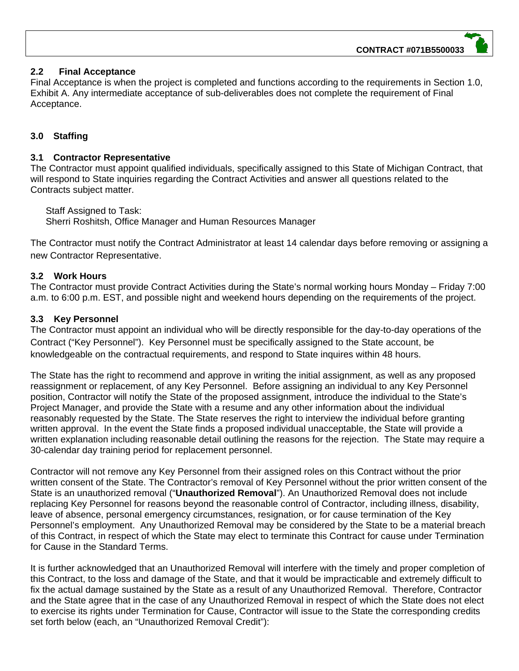# **2.2 Final Acceptance**

Final Acceptance is when the project is completed and functions according to the requirements in Section 1.0, Exhibit A. Any intermediate acceptance of sub-deliverables does not complete the requirement of Final Acceptance.

# **3.0 Staffing**

# **3.1 Contractor Representative**

The Contractor must appoint qualified individuals, specifically assigned to this State of Michigan Contract, that will respond to State inquiries regarding the Contract Activities and answer all questions related to the Contracts subject matter.

Staff Assigned to Task: Sherri Roshitsh, Office Manager and Human Resources Manager

The Contractor must notify the Contract Administrator at least 14 calendar days before removing or assigning a new Contractor Representative.

# **3.2 Work Hours**

The Contractor must provide Contract Activities during the State's normal working hours Monday – Friday 7:00 a.m. to 6:00 p.m. EST, and possible night and weekend hours depending on the requirements of the project.

# **3.3 Key Personnel**

The Contractor must appoint an individual who will be directly responsible for the day-to-day operations of the Contract ("Key Personnel"). Key Personnel must be specifically assigned to the State account, be knowledgeable on the contractual requirements, and respond to State inquires within 48 hours.

The State has the right to recommend and approve in writing the initial assignment, as well as any proposed reassignment or replacement, of any Key Personnel. Before assigning an individual to any Key Personnel position, Contractor will notify the State of the proposed assignment, introduce the individual to the State's Project Manager, and provide the State with a resume and any other information about the individual reasonably requested by the State. The State reserves the right to interview the individual before granting written approval. In the event the State finds a proposed individual unacceptable, the State will provide a written explanation including reasonable detail outlining the reasons for the rejection. The State may require a 30-calendar day training period for replacement personnel.

Contractor will not remove any Key Personnel from their assigned roles on this Contract without the prior written consent of the State. The Contractor's removal of Key Personnel without the prior written consent of the State is an unauthorized removal ("**Unauthorized Removal**"). An Unauthorized Removal does not include replacing Key Personnel for reasons beyond the reasonable control of Contractor, including illness, disability, leave of absence, personal emergency circumstances, resignation, or for cause termination of the Key Personnel's employment. Any Unauthorized Removal may be considered by the State to be a material breach of this Contract, in respect of which the State may elect to terminate this Contract for cause under Termination for Cause in the Standard Terms.

It is further acknowledged that an Unauthorized Removal will interfere with the timely and proper completion of this Contract, to the loss and damage of the State, and that it would be impracticable and extremely difficult to fix the actual damage sustained by the State as a result of any Unauthorized Removal. Therefore, Contractor and the State agree that in the case of any Unauthorized Removal in respect of which the State does not elect to exercise its rights under Termination for Cause, Contractor will issue to the State the corresponding credits set forth below (each, an "Unauthorized Removal Credit"):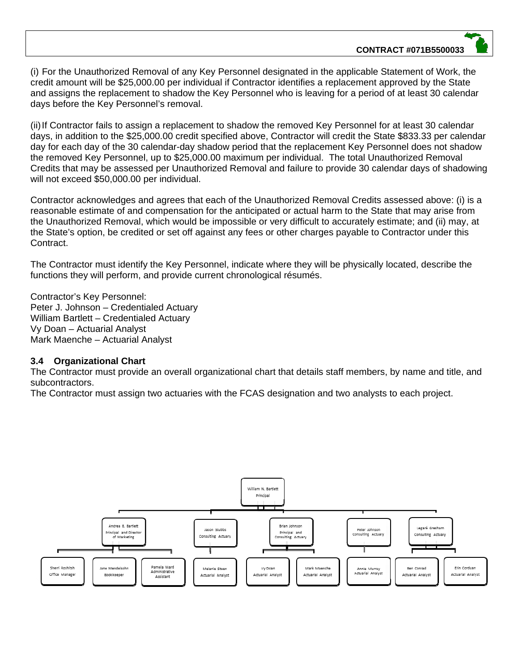(i) For the Unauthorized Removal of any Key Personnel designated in the applicable Statement of Work, the credit amount will be \$25,000.00 per individual if Contractor identifies a replacement approved by the State and assigns the replacement to shadow the Key Personnel who is leaving for a period of at least 30 calendar days before the Key Personnel's removal.

(ii) If Contractor fails to assign a replacement to shadow the removed Key Personnel for at least 30 calendar days, in addition to the \$25,000.00 credit specified above, Contractor will credit the State \$833.33 per calendar day for each day of the 30 calendar-day shadow period that the replacement Key Personnel does not shadow the removed Key Personnel, up to \$25,000.00 maximum per individual. The total Unauthorized Removal Credits that may be assessed per Unauthorized Removal and failure to provide 30 calendar days of shadowing will not exceed \$50,000.00 per individual.

Contractor acknowledges and agrees that each of the Unauthorized Removal Credits assessed above: (i) is a reasonable estimate of and compensation for the anticipated or actual harm to the State that may arise from the Unauthorized Removal, which would be impossible or very difficult to accurately estimate; and (ii) may, at the State's option, be credited or set off against any fees or other charges payable to Contractor under this Contract.

The Contractor must identify the Key Personnel, indicate where they will be physically located, describe the functions they will perform, and provide current chronological résumés.

Contractor's Key Personnel: Peter J. Johnson – Credentialed Actuary William Bartlett – Credentialed Actuary Vy Doan – Actuarial Analyst Mark Maenche – Actuarial Analyst

#### **3.4 Organizational Chart**

The Contractor must provide an overall organizational chart that details staff members, by name and title, and subcontractors.

The Contractor must assign two actuaries with the FCAS designation and two analysts to each project.

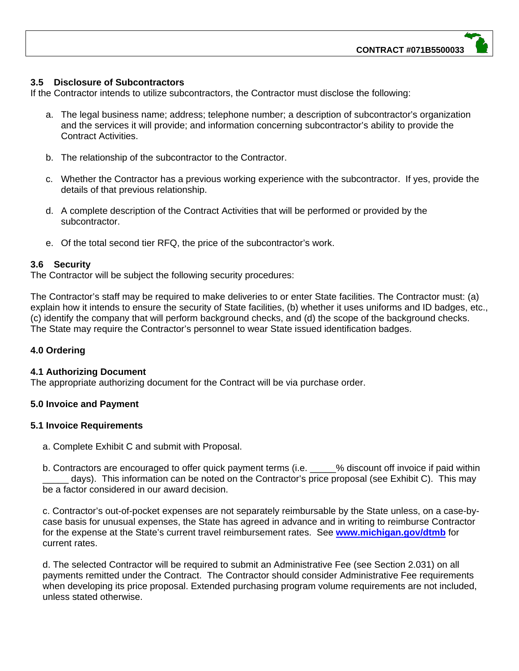#### **3.5 Disclosure of Subcontractors**

If the Contractor intends to utilize subcontractors, the Contractor must disclose the following:

- a. The legal business name; address; telephone number; a description of subcontractor's organization and the services it will provide; and information concerning subcontractor's ability to provide the Contract Activities.
- b. The relationship of the subcontractor to the Contractor.
- c. Whether the Contractor has a previous working experience with the subcontractor. If yes, provide the details of that previous relationship.
- d. A complete description of the Contract Activities that will be performed or provided by the subcontractor.
- e. Of the total second tier RFQ, the price of the subcontractor's work.

#### **3.6 Security**

The Contractor will be subject the following security procedures:

The Contractor's staff may be required to make deliveries to or enter State facilities. The Contractor must: (a) explain how it intends to ensure the security of State facilities, (b) whether it uses uniforms and ID badges, etc., (c) identify the company that will perform background checks, and (d) the scope of the background checks. The State may require the Contractor's personnel to wear State issued identification badges.

#### **4.0 Ordering**

#### **4.1 Authorizing Document**

The appropriate authorizing document for the Contract will be via purchase order.

#### **5.0 Invoice and Payment**

#### **5.1 Invoice Requirements**

a. Complete Exhibit C and submit with Proposal.

b. Contractors are encouraged to offer quick payment terms (i.e.  $\%$  discount off invoice if paid within days). This information can be noted on the Contractor's price proposal (see Exhibit C). This may be a factor considered in our award decision.

c. Contractor's out-of-pocket expenses are not separately reimbursable by the State unless, on a case-bycase basis for unusual expenses, the State has agreed in advance and in writing to reimburse Contractor for the expense at the State's current travel reimbursement rates. See **www.michigan.gov/dtmb** for current rates.

d. The selected Contractor will be required to submit an Administrative Fee (see Section 2.031) on all payments remitted under the Contract. The Contractor should consider Administrative Fee requirements when developing its price proposal. Extended purchasing program volume requirements are not included, unless stated otherwise.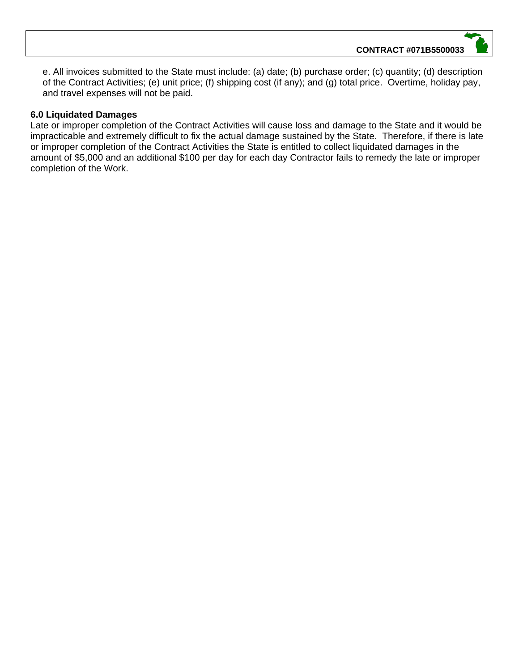e. All invoices submitted to the State must include: (a) date; (b) purchase order; (c) quantity; (d) description of the Contract Activities; (e) unit price; (f) shipping cost (if any); and (g) total price. Overtime, holiday pay, and travel expenses will not be paid.

### **6.0 Liquidated Damages**

Late or improper completion of the Contract Activities will cause loss and damage to the State and it would be impracticable and extremely difficult to fix the actual damage sustained by the State. Therefore, if there is late or improper completion of the Contract Activities the State is entitled to collect liquidated damages in the amount of \$5,000 and an additional \$100 per day for each day Contractor fails to remedy the late or improper completion of the Work.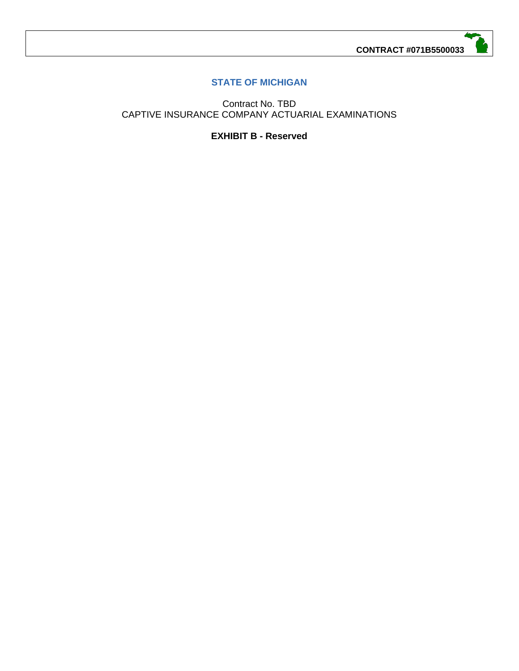# **STATE OF MICHIGAN**

Contract No. TBD CAPTIVE INSURANCE COMPANY ACTUARIAL EXAMINATIONS

**EXHIBIT B - Reserved**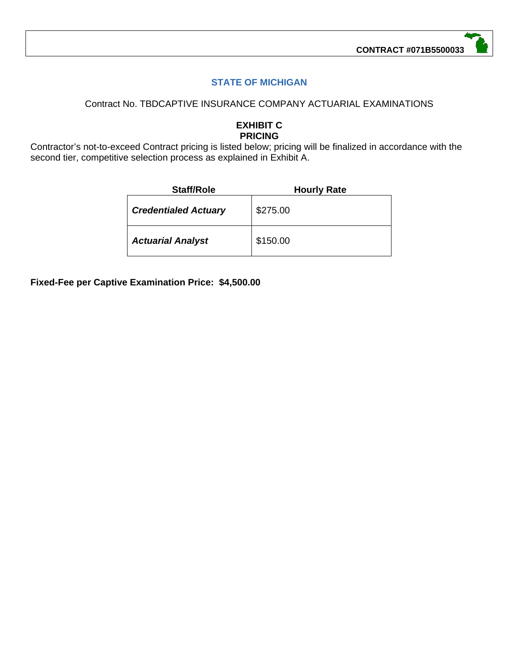# **STATE OF MICHIGAN**

## Contract No. TBDCAPTIVE INSURANCE COMPANY ACTUARIAL EXAMINATIONS

#### **EXHIBIT C PRICING**

Contractor's not-to-exceed Contract pricing is listed below; pricing will be finalized in accordance with the second tier, competitive selection process as explained in Exhibit A.

| <b>Staff/Role</b>           | <b>Hourly Rate</b> |
|-----------------------------|--------------------|
| <b>Credentialed Actuary</b> | \$275.00           |
| <b>Actuarial Analyst</b>    | \$150.00           |

**Fixed-Fee per Captive Examination Price: \$4,500.00**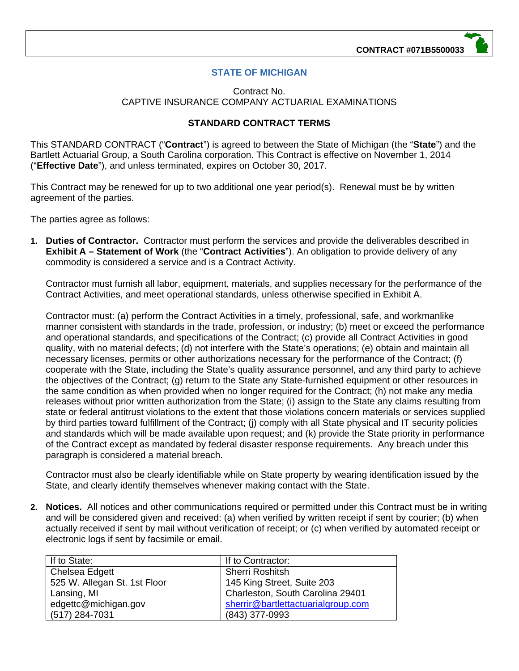# **STATE OF MICHIGAN**

#### Contract No. CAPTIVE INSURANCE COMPANY ACTUARIAL EXAMINATIONS

# **STANDARD CONTRACT TERMS**

This STANDARD CONTRACT ("**Contract**") is agreed to between the State of Michigan (the "**State**") and the Bartlett Actuarial Group, a South Carolina corporation. This Contract is effective on November 1, 2014 ("**Effective Date**"), and unless terminated, expires on October 30, 2017.

This Contract may be renewed for up to two additional one year period(s). Renewal must be by written agreement of the parties.

The parties agree as follows:

**1. Duties of Contractor.** Contractor must perform the services and provide the deliverables described in **Exhibit A – Statement of Work** (the "**Contract Activities**"). An obligation to provide delivery of any commodity is considered a service and is a Contract Activity.

Contractor must furnish all labor, equipment, materials, and supplies necessary for the performance of the Contract Activities, and meet operational standards, unless otherwise specified in Exhibit A.

Contractor must: (a) perform the Contract Activities in a timely, professional, safe, and workmanlike manner consistent with standards in the trade, profession, or industry; (b) meet or exceed the performance and operational standards, and specifications of the Contract; (c) provide all Contract Activities in good quality, with no material defects; (d) not interfere with the State's operations; (e) obtain and maintain all necessary licenses, permits or other authorizations necessary for the performance of the Contract; (f) cooperate with the State, including the State's quality assurance personnel, and any third party to achieve the objectives of the Contract; (g) return to the State any State-furnished equipment or other resources in the same condition as when provided when no longer required for the Contract; (h) not make any media releases without prior written authorization from the State; (i) assign to the State any claims resulting from state or federal antitrust violations to the extent that those violations concern materials or services supplied by third parties toward fulfillment of the Contract; (j) comply with all State physical and IT security policies and standards which will be made available upon request; and (k) provide the State priority in performance of the Contract except as mandated by federal disaster response requirements. Any breach under this paragraph is considered a material breach.

Contractor must also be clearly identifiable while on State property by wearing identification issued by the State, and clearly identify themselves whenever making contact with the State.

**2. Notices.** All notices and other communications required or permitted under this Contract must be in writing and will be considered given and received: (a) when verified by written receipt if sent by courier; (b) when actually received if sent by mail without verification of receipt; or (c) when verified by automated receipt or electronic logs if sent by facsimile or email.

| If to State:                 | If to Contractor:                  |
|------------------------------|------------------------------------|
| Chelsea Edgett               | <b>Sherri Roshitsh</b>             |
| 525 W. Allegan St. 1st Floor | 145 King Street, Suite 203         |
| Lansing, MI                  | Charleston, South Carolina 29401   |
| edgettc@michigan.gov         | sherrir@bartlettactuarialgroup.com |
| $(517)$ 284-7031             | (843) 377-0993                     |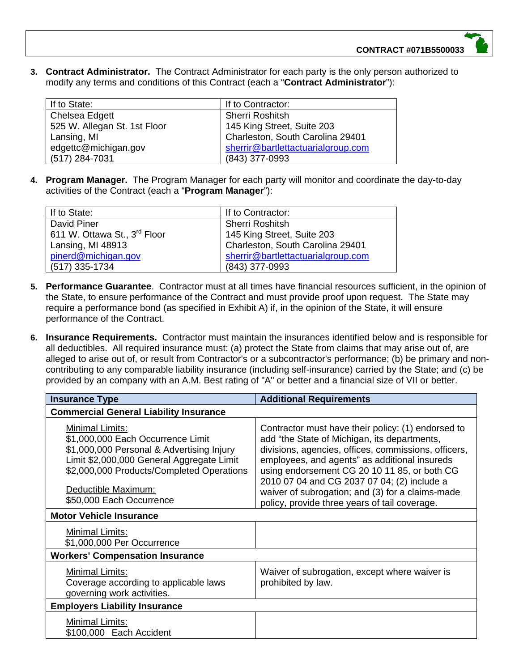**3. Contract Administrator.** The Contract Administrator for each party is the only person authorized to modify any terms and conditions of this Contract (each a "**Contract Administrator**"):

| If to State:                 | If to Contractor:                  |
|------------------------------|------------------------------------|
| Chelsea Edgett               | <b>Sherri Roshitsh</b>             |
| 525 W. Allegan St. 1st Floor | 145 King Street, Suite 203         |
| Lansing, MI                  | Charleston, South Carolina 29401   |
| edgettc@michigan.gov         | sherrir@bartlettactuarialgroup.com |
| (517) 284-7031               | (843) 377-0993                     |

**4. Program Manager.** The Program Manager for each party will monitor and coordinate the day-to-day activities of the Contract (each a "**Program Manager**"):

| If to State:                             | If to Contractor:                  |
|------------------------------------------|------------------------------------|
| David Piner                              | <b>Sherri Roshitsh</b>             |
| 611 W. Ottawa St., 3 <sup>rd</sup> Floor | 145 King Street, Suite 203         |
| Lansing, MI 48913                        | Charleston, South Carolina 29401   |
| pinerd@michigan.gov                      | sherrir@bartlettactuarialgroup.com |
| (517) 335-1734                           | (843) 377-0993                     |

- **5. Performance Guarantee**. Contractor must at all times have financial resources sufficient, in the opinion of the State, to ensure performance of the Contract and must provide proof upon request. The State may require a performance bond (as specified in Exhibit A) if, in the opinion of the State, it will ensure performance of the Contract.
- **6. Insurance Requirements.** Contractor must maintain the insurances identified below and is responsible for all deductibles. All required insurance must: (a) protect the State from claims that may arise out of, are alleged to arise out of, or result from Contractor's or a subcontractor's performance; (b) be primary and noncontributing to any comparable liability insurance (including self-insurance) carried by the State; and (c) be provided by an company with an A.M. Best rating of "A" or better and a financial size of VII or better.

| <b>Insurance Type</b>                                                                                                                                                                                                                          | <b>Additional Requirements</b>                                                                                                                                                                                                                                                                                                                                                                                  |  |
|------------------------------------------------------------------------------------------------------------------------------------------------------------------------------------------------------------------------------------------------|-----------------------------------------------------------------------------------------------------------------------------------------------------------------------------------------------------------------------------------------------------------------------------------------------------------------------------------------------------------------------------------------------------------------|--|
| <b>Commercial General Liability Insurance</b>                                                                                                                                                                                                  |                                                                                                                                                                                                                                                                                                                                                                                                                 |  |
| Minimal Limits:<br>\$1,000,000 Each Occurrence Limit<br>\$1,000,000 Personal & Advertising Injury<br>Limit \$2,000,000 General Aggregate Limit<br>\$2,000,000 Products/Completed Operations<br>Deductible Maximum:<br>\$50,000 Each Occurrence | Contractor must have their policy: (1) endorsed to<br>add "the State of Michigan, its departments,<br>divisions, agencies, offices, commissions, officers,<br>employees, and agents" as additional insureds<br>using endorsement CG 20 10 11 85, or both CG<br>2010 07 04 and CG 2037 07 04; (2) include a<br>waiver of subrogation; and (3) for a claims-made<br>policy, provide three years of tail coverage. |  |
| <b>Motor Vehicle Insurance</b>                                                                                                                                                                                                                 |                                                                                                                                                                                                                                                                                                                                                                                                                 |  |
| <b>Minimal Limits:</b><br>\$1,000,000 Per Occurrence                                                                                                                                                                                           |                                                                                                                                                                                                                                                                                                                                                                                                                 |  |
| <b>Workers' Compensation Insurance</b>                                                                                                                                                                                                         |                                                                                                                                                                                                                                                                                                                                                                                                                 |  |
| Minimal Limits:<br>Coverage according to applicable laws<br>governing work activities.                                                                                                                                                         | Waiver of subrogation, except where waiver is<br>prohibited by law.                                                                                                                                                                                                                                                                                                                                             |  |
| <b>Employers Liability Insurance</b>                                                                                                                                                                                                           |                                                                                                                                                                                                                                                                                                                                                                                                                 |  |
| Minimal Limits:<br>\$100,000 Each Accident                                                                                                                                                                                                     |                                                                                                                                                                                                                                                                                                                                                                                                                 |  |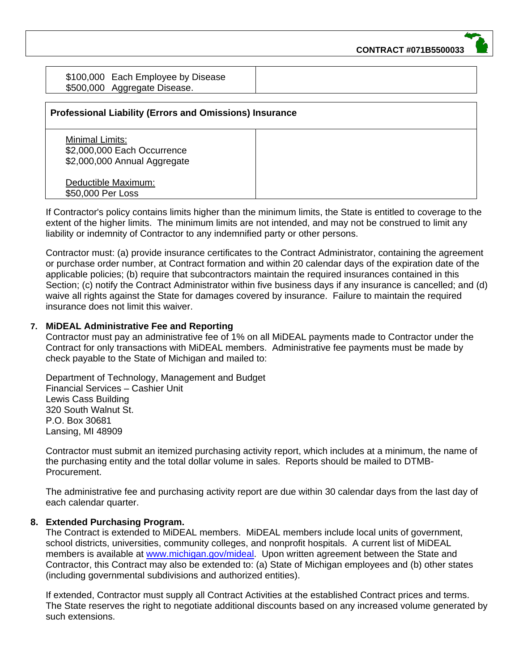\$100,000 Each Employee by Disease \$500,000 Aggregate Disease.

| <b>Professional Liability (Errors and Omissions) Insurance</b>                 |  |
|--------------------------------------------------------------------------------|--|
| Minimal Limits:<br>\$2,000,000 Each Occurrence<br>\$2,000,000 Annual Aggregate |  |
| Deductible Maximum:<br>\$50,000 Per Loss                                       |  |

If Contractor's policy contains limits higher than the minimum limits, the State is entitled to coverage to the extent of the higher limits. The minimum limits are not intended, and may not be construed to limit any liability or indemnity of Contractor to any indemnified party or other persons.

Contractor must: (a) provide insurance certificates to the Contract Administrator, containing the agreement or purchase order number, at Contract formation and within 20 calendar days of the expiration date of the applicable policies; (b) require that subcontractors maintain the required insurances contained in this Section; (c) notify the Contract Administrator within five business days if any insurance is cancelled; and (d) waive all rights against the State for damages covered by insurance. Failure to maintain the required insurance does not limit this waiver.

#### **7. MiDEAL Administrative Fee and Reporting**

Contractor must pay an administrative fee of 1% on all MiDEAL payments made to Contractor under the Contract for only transactions with MiDEAL members. Administrative fee payments must be made by check payable to the State of Michigan and mailed to:

Department of Technology, Management and Budget Financial Services – Cashier Unit Lewis Cass Building 320 South Walnut St. P.O. Box 30681 Lansing, MI 48909

Contractor must submit an itemized purchasing activity report, which includes at a minimum, the name of the purchasing entity and the total dollar volume in sales. Reports should be mailed to DTMB-Procurement.

The administrative fee and purchasing activity report are due within 30 calendar days from the last day of each calendar quarter.

# **8. Extended Purchasing Program.**

The Contract is extended to MiDEAL members. MiDEAL members include local units of government, school districts, universities, community colleges, and nonprofit hospitals. A current list of MiDEAL members is available at www.michigan.gov/mideal. Upon written agreement between the State and Contractor, this Contract may also be extended to: (a) State of Michigan employees and (b) other states (including governmental subdivisions and authorized entities).

If extended, Contractor must supply all Contract Activities at the established Contract prices and terms. The State reserves the right to negotiate additional discounts based on any increased volume generated by such extensions.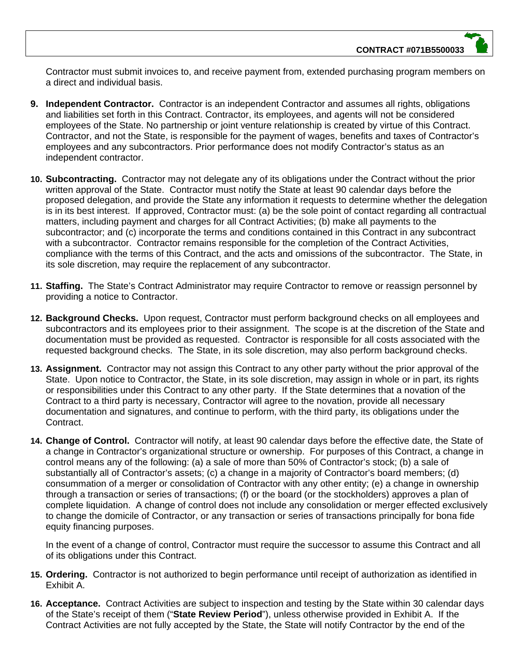Contractor must submit invoices to, and receive payment from, extended purchasing program members on a direct and individual basis.

- **9. Independent Contractor.** Contractor is an independent Contractor and assumes all rights, obligations and liabilities set forth in this Contract. Contractor, its employees, and agents will not be considered employees of the State. No partnership or joint venture relationship is created by virtue of this Contract. Contractor, and not the State, is responsible for the payment of wages, benefits and taxes of Contractor's employees and any subcontractors. Prior performance does not modify Contractor's status as an independent contractor.
- **10. Subcontracting.** Contractor may not delegate any of its obligations under the Contract without the prior written approval of the State. Contractor must notify the State at least 90 calendar days before the proposed delegation, and provide the State any information it requests to determine whether the delegation is in its best interest. If approved, Contractor must: (a) be the sole point of contact regarding all contractual matters, including payment and charges for all Contract Activities; (b) make all payments to the subcontractor; and (c) incorporate the terms and conditions contained in this Contract in any subcontract with a subcontractor. Contractor remains responsible for the completion of the Contract Activities, compliance with the terms of this Contract, and the acts and omissions of the subcontractor. The State, in its sole discretion, may require the replacement of any subcontractor.
- **11. Staffing.** The State's Contract Administrator may require Contractor to remove or reassign personnel by providing a notice to Contractor.
- **12. Background Checks.** Upon request, Contractor must perform background checks on all employees and subcontractors and its employees prior to their assignment. The scope is at the discretion of the State and documentation must be provided as requested. Contractor is responsible for all costs associated with the requested background checks. The State, in its sole discretion, may also perform background checks.
- **13. Assignment.** Contractor may not assign this Contract to any other party without the prior approval of the State. Upon notice to Contractor, the State, in its sole discretion, may assign in whole or in part, its rights or responsibilities under this Contract to any other party. If the State determines that a novation of the Contract to a third party is necessary, Contractor will agree to the novation, provide all necessary documentation and signatures, and continue to perform, with the third party, its obligations under the Contract.
- **14. Change of Control.** Contractor will notify, at least 90 calendar days before the effective date, the State of a change in Contractor's organizational structure or ownership. For purposes of this Contract, a change in control means any of the following: (a) a sale of more than 50% of Contractor's stock; (b) a sale of substantially all of Contractor's assets; (c) a change in a majority of Contractor's board members; (d) consummation of a merger or consolidation of Contractor with any other entity; (e) a change in ownership through a transaction or series of transactions; (f) or the board (or the stockholders) approves a plan of complete liquidation. A change of control does not include any consolidation or merger effected exclusively to change the domicile of Contractor, or any transaction or series of transactions principally for bona fide equity financing purposes.

In the event of a change of control, Contractor must require the successor to assume this Contract and all of its obligations under this Contract.

- **15. Ordering.** Contractor is not authorized to begin performance until receipt of authorization as identified in Exhibit A.
- **16. Acceptance.** Contract Activities are subject to inspection and testing by the State within 30 calendar days of the State's receipt of them ("**State Review Period**"), unless otherwise provided in Exhibit A. If the Contract Activities are not fully accepted by the State, the State will notify Contractor by the end of the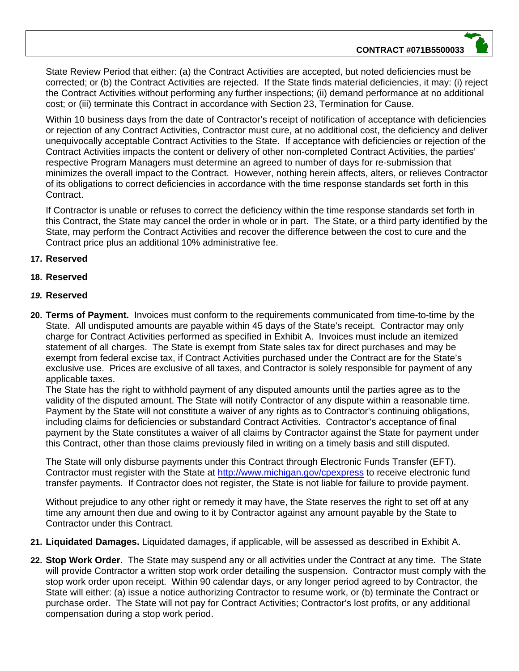State Review Period that either: (a) the Contract Activities are accepted, but noted deficiencies must be corrected; or (b) the Contract Activities are rejected. If the State finds material deficiencies, it may: (i) reject the Contract Activities without performing any further inspections; (ii) demand performance at no additional cost; or (iii) terminate this Contract in accordance with Section 23, Termination for Cause.

Within 10 business days from the date of Contractor's receipt of notification of acceptance with deficiencies or rejection of any Contract Activities, Contractor must cure, at no additional cost, the deficiency and deliver unequivocally acceptable Contract Activities to the State. If acceptance with deficiencies or rejection of the Contract Activities impacts the content or delivery of other non-completed Contract Activities, the parties' respective Program Managers must determine an agreed to number of days for re-submission that minimizes the overall impact to the Contract. However, nothing herein affects, alters, or relieves Contractor of its obligations to correct deficiencies in accordance with the time response standards set forth in this Contract.

If Contractor is unable or refuses to correct the deficiency within the time response standards set forth in this Contract, the State may cancel the order in whole or in part. The State, or a third party identified by the State, may perform the Contract Activities and recover the difference between the cost to cure and the Contract price plus an additional 10% administrative fee.

# **17. Reserved**

### **18. Reserved**

- *19.* **Reserved**
- **20. Terms of Payment.** Invoices must conform to the requirements communicated from time-to-time by the State. All undisputed amounts are payable within 45 days of the State's receipt. Contractor may only charge for Contract Activities performed as specified in Exhibit A. Invoices must include an itemized statement of all charges. The State is exempt from State sales tax for direct purchases and may be exempt from federal excise tax, if Contract Activities purchased under the Contract are for the State's exclusive use. Prices are exclusive of all taxes, and Contractor is solely responsible for payment of any applicable taxes.

The State has the right to withhold payment of any disputed amounts until the parties agree as to the validity of the disputed amount. The State will notify Contractor of any dispute within a reasonable time. Payment by the State will not constitute a waiver of any rights as to Contractor's continuing obligations, including claims for deficiencies or substandard Contract Activities. Contractor's acceptance of final payment by the State constitutes a waiver of all claims by Contractor against the State for payment under this Contract, other than those claims previously filed in writing on a timely basis and still disputed.

The State will only disburse payments under this Contract through Electronic Funds Transfer (EFT). Contractor must register with the State at http://www.michigan.gov/cpexpress to receive electronic fund transfer payments. If Contractor does not register, the State is not liable for failure to provide payment.

Without prejudice to any other right or remedy it may have, the State reserves the right to set off at any time any amount then due and owing to it by Contractor against any amount payable by the State to Contractor under this Contract.

- **21. Liquidated Damages.** Liquidated damages, if applicable, will be assessed as described in Exhibit A.
- **22. Stop Work Order.** The State may suspend any or all activities under the Contract at any time. The State will provide Contractor a written stop work order detailing the suspension. Contractor must comply with the stop work order upon receipt. Within 90 calendar days, or any longer period agreed to by Contractor, the State will either: (a) issue a notice authorizing Contractor to resume work, or (b) terminate the Contract or purchase order. The State will not pay for Contract Activities; Contractor's lost profits, or any additional compensation during a stop work period.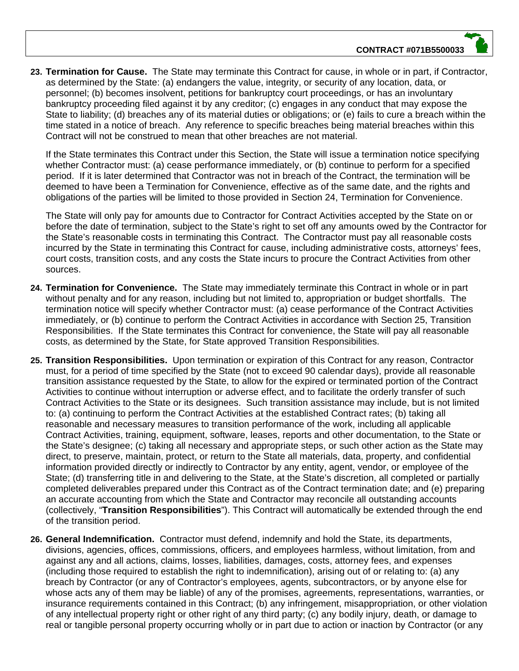**23. Termination for Cause.** The State may terminate this Contract for cause, in whole or in part, if Contractor, as determined by the State: (a) endangers the value, integrity, or security of any location, data, or personnel; (b) becomes insolvent, petitions for bankruptcy court proceedings, or has an involuntary bankruptcy proceeding filed against it by any creditor; (c) engages in any conduct that may expose the State to liability; (d) breaches any of its material duties or obligations; or (e) fails to cure a breach within the time stated in a notice of breach. Any reference to specific breaches being material breaches within this Contract will not be construed to mean that other breaches are not material.

If the State terminates this Contract under this Section, the State will issue a termination notice specifying whether Contractor must: (a) cease performance immediately, or (b) continue to perform for a specified period. If it is later determined that Contractor was not in breach of the Contract, the termination will be deemed to have been a Termination for Convenience, effective as of the same date, and the rights and obligations of the parties will be limited to those provided in Section 24, Termination for Convenience.

The State will only pay for amounts due to Contractor for Contract Activities accepted by the State on or before the date of termination, subject to the State's right to set off any amounts owed by the Contractor for the State's reasonable costs in terminating this Contract. The Contractor must pay all reasonable costs incurred by the State in terminating this Contract for cause, including administrative costs, attorneys' fees, court costs, transition costs, and any costs the State incurs to procure the Contract Activities from other sources.

- **24. Termination for Convenience.** The State may immediately terminate this Contract in whole or in part without penalty and for any reason, including but not limited to, appropriation or budget shortfalls. The termination notice will specify whether Contractor must: (a) cease performance of the Contract Activities immediately, or (b) continue to perform the Contract Activities in accordance with Section 25, Transition Responsibilities. If the State terminates this Contract for convenience, the State will pay all reasonable costs, as determined by the State, for State approved Transition Responsibilities.
- **25. Transition Responsibilities.** Upon termination or expiration of this Contract for any reason, Contractor must, for a period of time specified by the State (not to exceed 90 calendar days), provide all reasonable transition assistance requested by the State, to allow for the expired or terminated portion of the Contract Activities to continue without interruption or adverse effect, and to facilitate the orderly transfer of such Contract Activities to the State or its designees. Such transition assistance may include, but is not limited to: (a) continuing to perform the Contract Activities at the established Contract rates; (b) taking all reasonable and necessary measures to transition performance of the work, including all applicable Contract Activities, training, equipment, software, leases, reports and other documentation, to the State or the State's designee; (c) taking all necessary and appropriate steps, or such other action as the State may direct, to preserve, maintain, protect, or return to the State all materials, data, property, and confidential information provided directly or indirectly to Contractor by any entity, agent, vendor, or employee of the State; (d) transferring title in and delivering to the State, at the State's discretion, all completed or partially completed deliverables prepared under this Contract as of the Contract termination date; and (e) preparing an accurate accounting from which the State and Contractor may reconcile all outstanding accounts (collectively, "**Transition Responsibilities**"). This Contract will automatically be extended through the end of the transition period.
- **26. General Indemnification.** Contractor must defend, indemnify and hold the State, its departments, divisions, agencies, offices, commissions, officers, and employees harmless, without limitation, from and against any and all actions, claims, losses, liabilities, damages, costs, attorney fees, and expenses (including those required to establish the right to indemnification), arising out of or relating to: (a) any breach by Contractor (or any of Contractor's employees, agents, subcontractors, or by anyone else for whose acts any of them may be liable) of any of the promises, agreements, representations, warranties, or insurance requirements contained in this Contract; (b) any infringement, misappropriation, or other violation of any intellectual property right or other right of any third party; (c) any bodily injury, death, or damage to real or tangible personal property occurring wholly or in part due to action or inaction by Contractor (or any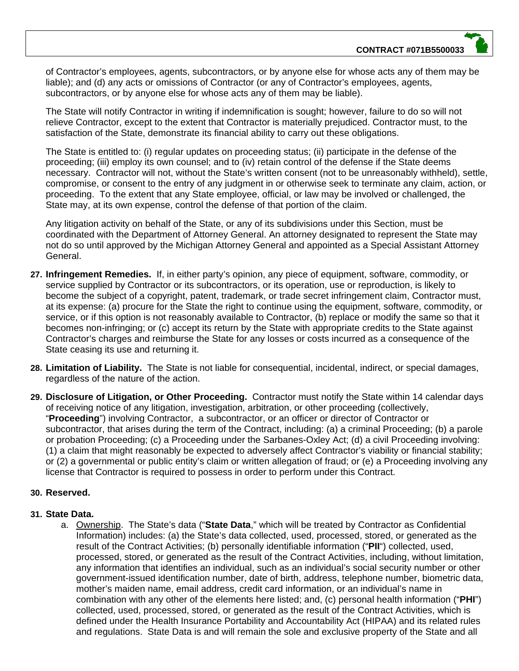of Contractor's employees, agents, subcontractors, or by anyone else for whose acts any of them may be liable); and (d) any acts or omissions of Contractor (or any of Contractor's employees, agents, subcontractors, or by anyone else for whose acts any of them may be liable).

The State will notify Contractor in writing if indemnification is sought; however, failure to do so will not relieve Contractor, except to the extent that Contractor is materially prejudiced. Contractor must, to the satisfaction of the State, demonstrate its financial ability to carry out these obligations.

The State is entitled to: (i) regular updates on proceeding status; (ii) participate in the defense of the proceeding; (iii) employ its own counsel; and to (iv) retain control of the defense if the State deems necessary. Contractor will not, without the State's written consent (not to be unreasonably withheld), settle, compromise, or consent to the entry of any judgment in or otherwise seek to terminate any claim, action, or proceeding. To the extent that any State employee, official, or law may be involved or challenged, the State may, at its own expense, control the defense of that portion of the claim.

Any litigation activity on behalf of the State, or any of its subdivisions under this Section, must be coordinated with the Department of Attorney General. An attorney designated to represent the State may not do so until approved by the Michigan Attorney General and appointed as a Special Assistant Attorney General.

- **27. Infringement Remedies.** If, in either party's opinion, any piece of equipment, software, commodity, or service supplied by Contractor or its subcontractors, or its operation, use or reproduction, is likely to become the subject of a copyright, patent, trademark, or trade secret infringement claim, Contractor must, at its expense: (a) procure for the State the right to continue using the equipment, software, commodity, or service, or if this option is not reasonably available to Contractor, (b) replace or modify the same so that it becomes non-infringing; or (c) accept its return by the State with appropriate credits to the State against Contractor's charges and reimburse the State for any losses or costs incurred as a consequence of the State ceasing its use and returning it.
- **28. Limitation of Liability.** The State is not liable for consequential, incidental, indirect, or special damages, regardless of the nature of the action.
- **29. Disclosure of Litigation, or Other Proceeding.** Contractor must notify the State within 14 calendar days of receiving notice of any litigation, investigation, arbitration, or other proceeding (collectively, "**Proceeding**") involving Contractor, a subcontractor, or an officer or director of Contractor or subcontractor, that arises during the term of the Contract, including: (a) a criminal Proceeding; (b) a parole or probation Proceeding; (c) a Proceeding under the Sarbanes-Oxley Act; (d) a civil Proceeding involving: (1) a claim that might reasonably be expected to adversely affect Contractor's viability or financial stability; or (2) a governmental or public entity's claim or written allegation of fraud; or (e) a Proceeding involving any license that Contractor is required to possess in order to perform under this Contract.

#### **30. Reserved.**

#### **31. State Data.**

a. Ownership. The State's data ("**State Data**," which will be treated by Contractor as Confidential Information) includes: (a) the State's data collected, used, processed, stored, or generated as the result of the Contract Activities; (b) personally identifiable information ("**PII**") collected, used, processed, stored, or generated as the result of the Contract Activities, including, without limitation, any information that identifies an individual, such as an individual's social security number or other government-issued identification number, date of birth, address, telephone number, biometric data, mother's maiden name, email address, credit card information, or an individual's name in combination with any other of the elements here listed; and, (c) personal health information ("**PHI**") collected, used, processed, stored, or generated as the result of the Contract Activities, which is defined under the Health Insurance Portability and Accountability Act (HIPAA) and its related rules and regulations. State Data is and will remain the sole and exclusive property of the State and all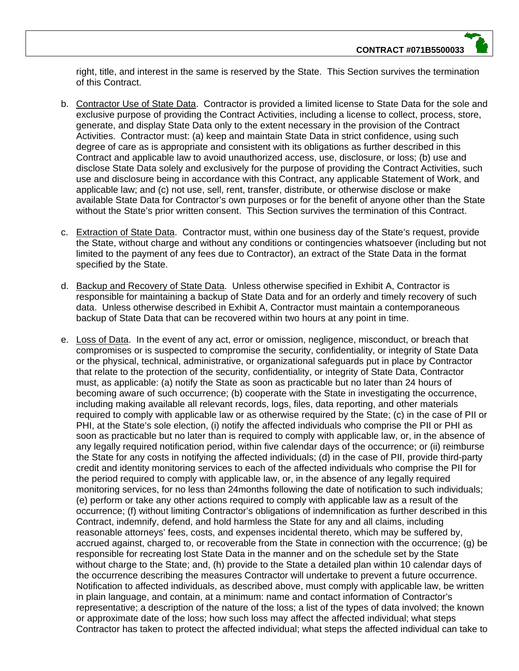right, title, and interest in the same is reserved by the State. This Section survives the termination of this Contract.

- b. Contractor Use of State Data. Contractor is provided a limited license to State Data for the sole and exclusive purpose of providing the Contract Activities, including a license to collect, process, store, generate, and display State Data only to the extent necessary in the provision of the Contract Activities. Contractor must: (a) keep and maintain State Data in strict confidence, using such degree of care as is appropriate and consistent with its obligations as further described in this Contract and applicable law to avoid unauthorized access, use, disclosure, or loss; (b) use and disclose State Data solely and exclusively for the purpose of providing the Contract Activities, such use and disclosure being in accordance with this Contract, any applicable Statement of Work, and applicable law; and (c) not use, sell, rent, transfer, distribute, or otherwise disclose or make available State Data for Contractor's own purposes or for the benefit of anyone other than the State without the State's prior written consent. This Section survives the termination of this Contract.
- c. Extraction of State Data. Contractor must, within one business day of the State's request, provide the State, without charge and without any conditions or contingencies whatsoever (including but not limited to the payment of any fees due to Contractor), an extract of the State Data in the format specified by the State.
- d. Backup and Recovery of State Data. Unless otherwise specified in Exhibit A, Contractor is responsible for maintaining a backup of State Data and for an orderly and timely recovery of such data. Unless otherwise described in Exhibit A, Contractor must maintain a contemporaneous backup of State Data that can be recovered within two hours at any point in time.
- e. Loss of Data. In the event of any act, error or omission, negligence, misconduct, or breach that compromises or is suspected to compromise the security, confidentiality, or integrity of State Data or the physical, technical, administrative, or organizational safeguards put in place by Contractor that relate to the protection of the security, confidentiality, or integrity of State Data, Contractor must, as applicable: (a) notify the State as soon as practicable but no later than 24 hours of becoming aware of such occurrence; (b) cooperate with the State in investigating the occurrence, including making available all relevant records, logs, files, data reporting, and other materials required to comply with applicable law or as otherwise required by the State; (c) in the case of PII or PHI, at the State's sole election, (i) notify the affected individuals who comprise the PII or PHI as soon as practicable but no later than is required to comply with applicable law, or, in the absence of any legally required notification period, within five calendar days of the occurrence; or (ii) reimburse the State for any costs in notifying the affected individuals; (d) in the case of PII, provide third-party credit and identity monitoring services to each of the affected individuals who comprise the PII for the period required to comply with applicable law, or, in the absence of any legally required monitoring services, for no less than 24months following the date of notification to such individuals; (e) perform or take any other actions required to comply with applicable law as a result of the occurrence; (f) without limiting Contractor's obligations of indemnification as further described in this Contract, indemnify, defend, and hold harmless the State for any and all claims, including reasonable attorneys' fees, costs, and expenses incidental thereto, which may be suffered by, accrued against, charged to, or recoverable from the State in connection with the occurrence; (g) be responsible for recreating lost State Data in the manner and on the schedule set by the State without charge to the State; and, (h) provide to the State a detailed plan within 10 calendar days of the occurrence describing the measures Contractor will undertake to prevent a future occurrence. Notification to affected individuals, as described above, must comply with applicable law, be written in plain language, and contain, at a minimum: name and contact information of Contractor's representative; a description of the nature of the loss; a list of the types of data involved; the known or approximate date of the loss; how such loss may affect the affected individual; what steps Contractor has taken to protect the affected individual; what steps the affected individual can take to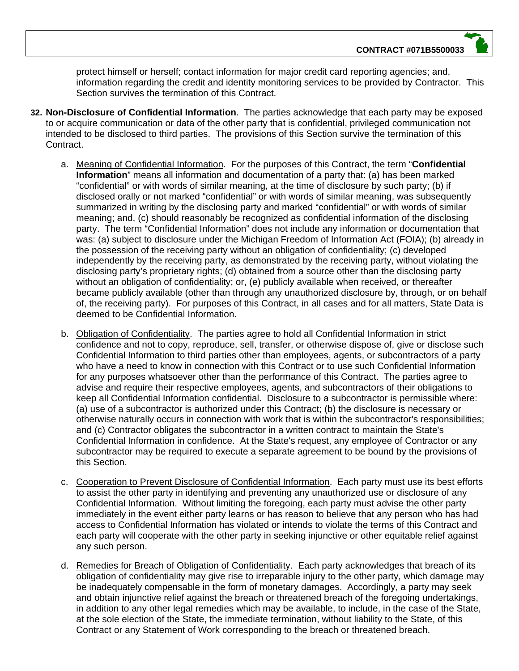protect himself or herself; contact information for major credit card reporting agencies; and, information regarding the credit and identity monitoring services to be provided by Contractor. This Section survives the termination of this Contract.

- **32. Non-Disclosure of Confidential Information**. The parties acknowledge that each party may be exposed to or acquire communication or data of the other party that is confidential, privileged communication not intended to be disclosed to third parties. The provisions of this Section survive the termination of this Contract.
	- a. Meaning of Confidential Information. For the purposes of this Contract, the term "**Confidential Information**" means all information and documentation of a party that: (a) has been marked "confidential" or with words of similar meaning, at the time of disclosure by such party; (b) if disclosed orally or not marked "confidential" or with words of similar meaning, was subsequently summarized in writing by the disclosing party and marked "confidential" or with words of similar meaning; and, (c) should reasonably be recognized as confidential information of the disclosing party. The term "Confidential Information" does not include any information or documentation that was: (a) subject to disclosure under the Michigan Freedom of Information Act (FOIA); (b) already in the possession of the receiving party without an obligation of confidentiality; (c) developed independently by the receiving party, as demonstrated by the receiving party, without violating the disclosing party's proprietary rights; (d) obtained from a source other than the disclosing party without an obligation of confidentiality; or, (e) publicly available when received, or thereafter became publicly available (other than through any unauthorized disclosure by, through, or on behalf of, the receiving party). For purposes of this Contract, in all cases and for all matters, State Data is deemed to be Confidential Information.
	- b. Obligation of Confidentiality. The parties agree to hold all Confidential Information in strict confidence and not to copy, reproduce, sell, transfer, or otherwise dispose of, give or disclose such Confidential Information to third parties other than employees, agents, or subcontractors of a party who have a need to know in connection with this Contract or to use such Confidential Information for any purposes whatsoever other than the performance of this Contract. The parties agree to advise and require their respective employees, agents, and subcontractors of their obligations to keep all Confidential Information confidential. Disclosure to a subcontractor is permissible where: (a) use of a subcontractor is authorized under this Contract; (b) the disclosure is necessary or otherwise naturally occurs in connection with work that is within the subcontractor's responsibilities; and (c) Contractor obligates the subcontractor in a written contract to maintain the State's Confidential Information in confidence. At the State's request, any employee of Contractor or any subcontractor may be required to execute a separate agreement to be bound by the provisions of this Section.
	- c. Cooperation to Prevent Disclosure of Confidential Information. Each party must use its best efforts to assist the other party in identifying and preventing any unauthorized use or disclosure of any Confidential Information. Without limiting the foregoing, each party must advise the other party immediately in the event either party learns or has reason to believe that any person who has had access to Confidential Information has violated or intends to violate the terms of this Contract and each party will cooperate with the other party in seeking injunctive or other equitable relief against any such person.
	- d. Remedies for Breach of Obligation of Confidentiality. Each party acknowledges that breach of its obligation of confidentiality may give rise to irreparable injury to the other party, which damage may be inadequately compensable in the form of monetary damages. Accordingly, a party may seek and obtain injunctive relief against the breach or threatened breach of the foregoing undertakings, in addition to any other legal remedies which may be available, to include, in the case of the State, at the sole election of the State, the immediate termination, without liability to the State, of this Contract or any Statement of Work corresponding to the breach or threatened breach.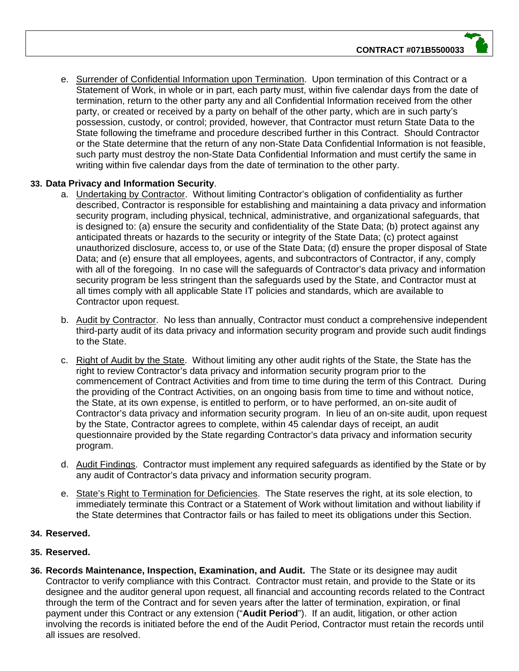e. Surrender of Confidential Information upon Termination. Upon termination of this Contract or a Statement of Work, in whole or in part, each party must, within five calendar days from the date of termination, return to the other party any and all Confidential Information received from the other party, or created or received by a party on behalf of the other party, which are in such party's possession, custody, or control; provided, however, that Contractor must return State Data to the State following the timeframe and procedure described further in this Contract. Should Contractor or the State determine that the return of any non-State Data Confidential Information is not feasible, such party must destroy the non-State Data Confidential Information and must certify the same in writing within five calendar days from the date of termination to the other party.

# **33. Data Privacy and Information Security**.

- a. Undertaking by Contractor. Without limiting Contractor's obligation of confidentiality as further described, Contractor is responsible for establishing and maintaining a data privacy and information security program, including physical, technical, administrative, and organizational safeguards, that is designed to: (a) ensure the security and confidentiality of the State Data; (b) protect against any anticipated threats or hazards to the security or integrity of the State Data; (c) protect against unauthorized disclosure, access to, or use of the State Data; (d) ensure the proper disposal of State Data; and (e) ensure that all employees, agents, and subcontractors of Contractor, if any, comply with all of the foregoing. In no case will the safeguards of Contractor's data privacy and information security program be less stringent than the safeguards used by the State, and Contractor must at all times comply with all applicable State IT policies and standards, which are available to Contractor upon request.
- b. Audit by Contractor. No less than annually, Contractor must conduct a comprehensive independent third-party audit of its data privacy and information security program and provide such audit findings to the State.
- c. Right of Audit by the State. Without limiting any other audit rights of the State, the State has the right to review Contractor's data privacy and information security program prior to the commencement of Contract Activities and from time to time during the term of this Contract. During the providing of the Contract Activities, on an ongoing basis from time to time and without notice, the State, at its own expense, is entitled to perform, or to have performed, an on-site audit of Contractor's data privacy and information security program. In lieu of an on-site audit, upon request by the State, Contractor agrees to complete, within 45 calendar days of receipt, an audit questionnaire provided by the State regarding Contractor's data privacy and information security program.
- d. Audit Findings. Contractor must implement any required safeguards as identified by the State or by any audit of Contractor's data privacy and information security program.
- e. State's Right to Termination for Deficiencies. The State reserves the right, at its sole election, to immediately terminate this Contract or a Statement of Work without limitation and without liability if the State determines that Contractor fails or has failed to meet its obligations under this Section.

#### **34. Reserved.**

# **35. Reserved.**

**36. Records Maintenance, Inspection, Examination, and Audit.** The State or its designee may audit Contractor to verify compliance with this Contract. Contractor must retain, and provide to the State or its designee and the auditor general upon request, all financial and accounting records related to the Contract through the term of the Contract and for seven years after the latter of termination, expiration, or final payment under this Contract or any extension ("**Audit Period**"). If an audit, litigation, or other action involving the records is initiated before the end of the Audit Period, Contractor must retain the records until all issues are resolved.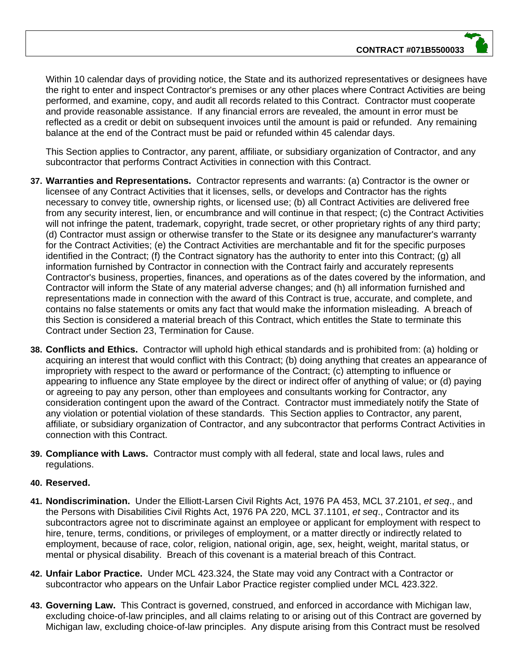Within 10 calendar days of providing notice, the State and its authorized representatives or designees have the right to enter and inspect Contractor's premises or any other places where Contract Activities are being performed, and examine, copy, and audit all records related to this Contract. Contractor must cooperate and provide reasonable assistance. If any financial errors are revealed, the amount in error must be reflected as a credit or debit on subsequent invoices until the amount is paid or refunded. Any remaining balance at the end of the Contract must be paid or refunded within 45 calendar days.

This Section applies to Contractor, any parent, affiliate, or subsidiary organization of Contractor, and any subcontractor that performs Contract Activities in connection with this Contract.

- **37. Warranties and Representations.** Contractor represents and warrants: (a) Contractor is the owner or licensee of any Contract Activities that it licenses, sells, or develops and Contractor has the rights necessary to convey title, ownership rights, or licensed use; (b) all Contract Activities are delivered free from any security interest, lien, or encumbrance and will continue in that respect; (c) the Contract Activities will not infringe the patent, trademark, copyright, trade secret, or other proprietary rights of any third party; (d) Contractor must assign or otherwise transfer to the State or its designee any manufacturer's warranty for the Contract Activities; (e) the Contract Activities are merchantable and fit for the specific purposes identified in the Contract; (f) the Contract signatory has the authority to enter into this Contract; (g) all information furnished by Contractor in connection with the Contract fairly and accurately represents Contractor's business, properties, finances, and operations as of the dates covered by the information, and Contractor will inform the State of any material adverse changes; and (h) all information furnished and representations made in connection with the award of this Contract is true, accurate, and complete, and contains no false statements or omits any fact that would make the information misleading. A breach of this Section is considered a material breach of this Contract, which entitles the State to terminate this Contract under Section 23, Termination for Cause.
- **38. Conflicts and Ethics.** Contractor will uphold high ethical standards and is prohibited from: (a) holding or acquiring an interest that would conflict with this Contract; (b) doing anything that creates an appearance of impropriety with respect to the award or performance of the Contract; (c) attempting to influence or appearing to influence any State employee by the direct or indirect offer of anything of value; or (d) paying or agreeing to pay any person, other than employees and consultants working for Contractor, any consideration contingent upon the award of the Contract. Contractor must immediately notify the State of any violation or potential violation of these standards. This Section applies to Contractor, any parent, affiliate, or subsidiary organization of Contractor, and any subcontractor that performs Contract Activities in connection with this Contract.
- **39. Compliance with Laws.** Contractor must comply with all federal, state and local laws, rules and regulations.

#### **40. Reserved.**

- **41. Nondiscrimination.** Under the Elliott-Larsen Civil Rights Act, 1976 PA 453, MCL 37.2101, *et seq*., and the Persons with Disabilities Civil Rights Act, 1976 PA 220, MCL 37.1101, *et seq*., Contractor and its subcontractors agree not to discriminate against an employee or applicant for employment with respect to hire, tenure, terms, conditions, or privileges of employment, or a matter directly or indirectly related to employment, because of race, color, religion, national origin, age, sex, height, weight, marital status, or mental or physical disability. Breach of this covenant is a material breach of this Contract.
- **42. Unfair Labor Practice.** Under MCL 423.324, the State may void any Contract with a Contractor or subcontractor who appears on the Unfair Labor Practice register complied under MCL 423.322.
- **43. Governing Law.** This Contract is governed, construed, and enforced in accordance with Michigan law, excluding choice-of-law principles, and all claims relating to or arising out of this Contract are governed by Michigan law, excluding choice-of-law principles. Any dispute arising from this Contract must be resolved